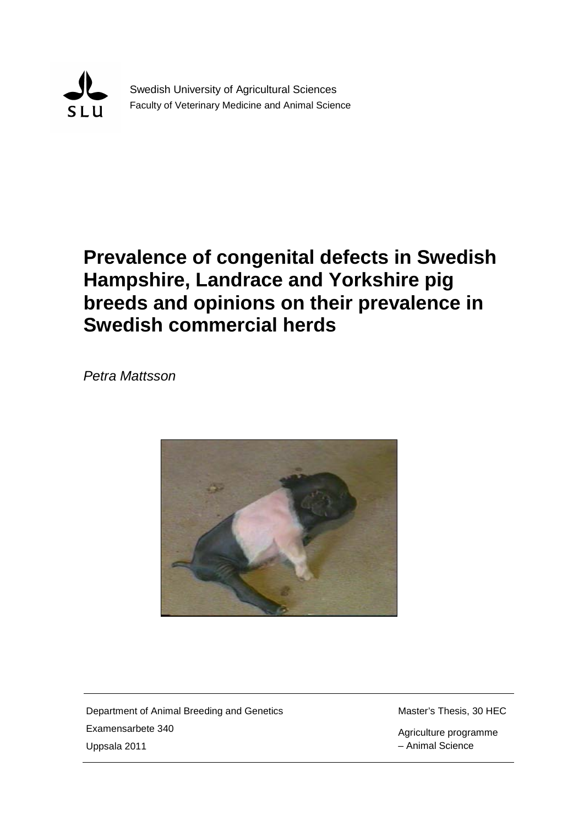

Swedish University of Agricultural Sciences Faculty of Veterinary Medicine and Animal Science

# **Prevalence of congenital defects in Swedish Hampshire, Landrace and Yorkshire pig breeds and opinions on their prevalence in Swedish commercial herds**

*Petra Mattsson*



Department of Animal Breeding and Genetics Examensarbete 340 Uppsala 2011

Master's Thesis, 30 HEC

Agriculture programme – Animal Science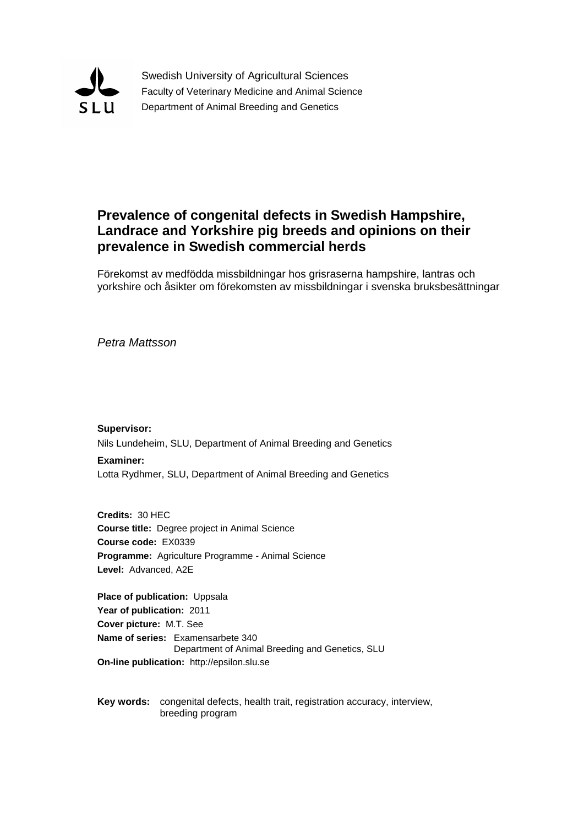

Swedish University of Agricultural Sciences Faculty of Veterinary Medicine and Animal Science Department of Animal Breeding and Genetics

# **Prevalence of congenital defects in Swedish Hampshire, Landrace and Yorkshire pig breeds and opinions on their prevalence in Swedish commercial herds**

Förekomst av medfödda missbildningar hos grisraserna hampshire, lantras och yorkshire och åsikter om förekomsten av missbildningar i svenska bruksbesättningar

*Petra Mattsson*

**Supervisor:** Nils Lundeheim, SLU, Department of Animal Breeding and Genetics **Examiner:**

Lotta Rydhmer, SLU, Department of Animal Breeding and Genetics

**Credits:** 30 HEC **Course title:** Degree project in Animal Science **Course code:** EX0339 **Programme:** Agriculture Programme - Animal Science **Level:** Advanced, A2E

**Place of publication:** Uppsala **Year of publication:** 2011 **Cover picture:** M.T. See **Name of series:** Examensarbete 340 Department of Animal Breeding and Genetics, SLU **On-line publication:** http://epsilon.slu.se

**Key words:** congenital defects, health trait, registration accuracy, interview, breeding program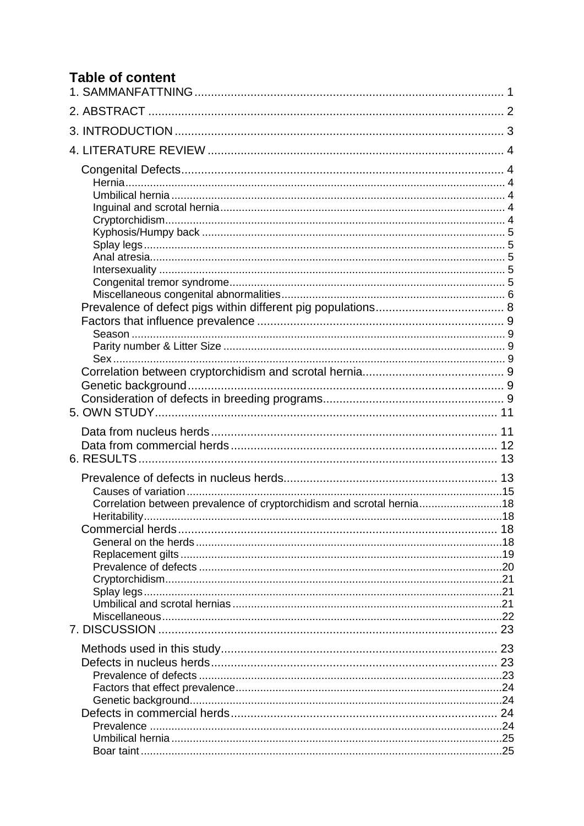# **Table of content**

| Correlation between prevalence of cryptorchidism and scrotal hernia18 |  |
|-----------------------------------------------------------------------|--|
|                                                                       |  |
|                                                                       |  |
|                                                                       |  |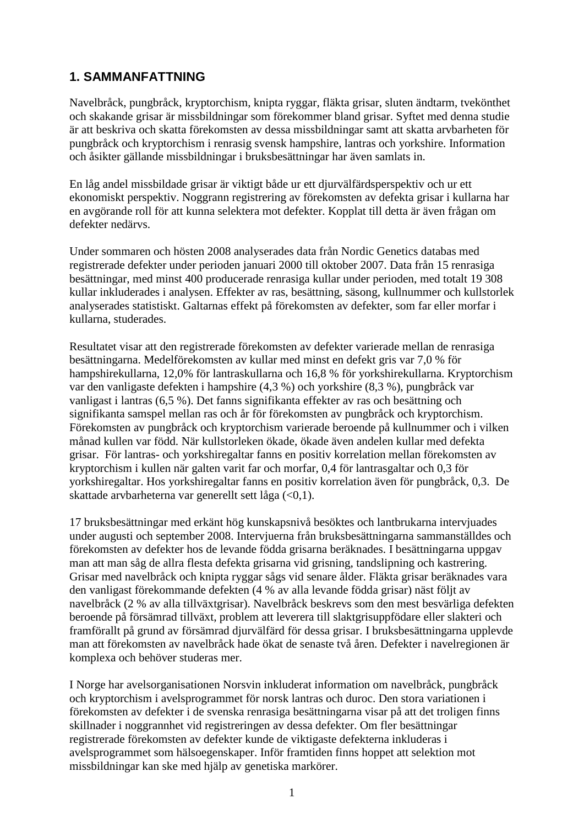### <span id="page-6-0"></span>**1. SAMMANFATTNING**

Navelbråck, pungbråck, kryptorchism, knipta ryggar, fläkta grisar, sluten ändtarm, tvekönthet och skakande grisar är missbildningar som förekommer bland grisar. Syftet med denna studie är att beskriva och skatta förekomsten av dessa missbildningar samt att skatta arvbarheten för pungbråck och kryptorchism i renrasig svensk hampshire, lantras och yorkshire. Information och åsikter gällande missbildningar i bruksbesättningar har även samlats in.

En låg andel missbildade grisar är viktigt både ur ett djurvälfärdsperspektiv och ur ett ekonomiskt perspektiv. Noggrann registrering av förekomsten av defekta grisar i kullarna har en avgörande roll för att kunna selektera mot defekter. Kopplat till detta är även frågan om defekter nedärvs.

Under sommaren och hösten 2008 analyserades data från Nordic Genetics databas med registrerade defekter under perioden januari 2000 till oktober 2007. Data från 15 renrasiga besättningar, med minst 400 producerade renrasiga kullar under perioden, med totalt 19 308 kullar inkluderades i analysen. Effekter av ras, besättning, säsong, kullnummer och kullstorlek analyserades statistiskt. Galtarnas effekt på förekomsten av defekter, som far eller morfar i kullarna, studerades.

Resultatet visar att den registrerade förekomsten av defekter varierade mellan de renrasiga besättningarna. Medelförekomsten av kullar med minst en defekt gris var 7,0 % för hampshirekullarna, 12,0% för lantraskullarna och 16,8 % för yorkshirekullarna. Kryptorchism var den vanligaste defekten i hampshire (4,3 %) och yorkshire (8,3 %), pungbråck var vanligast i lantras (6,5 %). Det fanns signifikanta effekter av ras och besättning och signifikanta samspel mellan ras och år för förekomsten av pungbråck och kryptorchism. Förekomsten av pungbråck och kryptorchism varierade beroende på kullnummer och i vilken månad kullen var född. När kullstorleken ökade, ökade även andelen kullar med defekta grisar. För lantras- och yorkshiregaltar fanns en positiv korrelation mellan förekomsten av kryptorchism i kullen när galten varit far och morfar, 0,4 för lantrasgaltar och 0,3 för yorkshiregaltar. Hos yorkshiregaltar fanns en positiv korrelation även för pungbråck, 0,3. De skattade arvbarheterna var generellt sett låga  $\left($ <0,1).

17 bruksbesättningar med erkänt hög kunskapsnivå besöktes och lantbrukarna intervjuades under augusti och september 2008. Intervjuerna från bruksbesättningarna sammanställdes och förekomsten av defekter hos de levande födda grisarna beräknades. I besättningarna uppgav man att man såg de allra flesta defekta grisarna vid grisning, tandslipning och kastrering. Grisar med navelbråck och knipta ryggar sågs vid senare ålder. Fläkta grisar beräknades vara den vanligast förekommande defekten (4 % av alla levande födda grisar) näst följt av navelbråck (2 % av alla tillväxtgrisar). Navelbråck beskrevs som den mest besvärliga defekten beroende på försämrad tillväxt, problem att leverera till slaktgrisuppfödare eller slakteri och framförallt på grund av försämrad djurvälfärd för dessa grisar. I bruksbesättningarna upplevde man att förekomsten av navelbråck hade ökat de senaste två åren. Defekter i navelregionen är komplexa och behöver studeras mer.

I Norge har avelsorganisationen Norsvin inkluderat information om navelbråck, pungbråck och kryptorchism i avelsprogrammet för norsk lantras och duroc. Den stora variationen i förekomsten av defekter i de svenska renrasiga besättningarna visar på att det troligen finns skillnader i noggrannhet vid registreringen av dessa defekter. Om fler besättningar registrerade förekomsten av defekter kunde de viktigaste defekterna inkluderas i avelsprogrammet som hälsoegenskaper. Inför framtiden finns hoppet att selektion mot missbildningar kan ske med hjälp av genetiska markörer.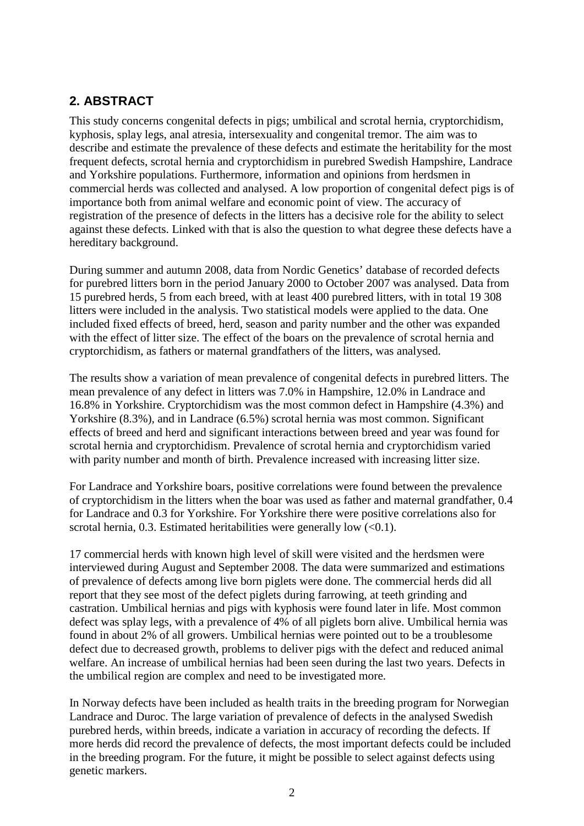# <span id="page-7-0"></span>**2. ABSTRACT**

This study concerns congenital defects in pigs; umbilical and scrotal hernia, cryptorchidism, kyphosis, splay legs, anal atresia, intersexuality and congenital tremor. The aim was to describe and estimate the prevalence of these defects and estimate the heritability for the most frequent defects, scrotal hernia and cryptorchidism in purebred Swedish Hampshire, Landrace and Yorkshire populations. Furthermore, information and opinions from herdsmen in commercial herds was collected and analysed. A low proportion of congenital defect pigs is of importance both from animal welfare and economic point of view. The accuracy of registration of the presence of defects in the litters has a decisive role for the ability to select against these defects. Linked with that is also the question to what degree these defects have a hereditary background.

During summer and autumn 2008, data from Nordic Genetics' database of recorded defects for purebred litters born in the period January 2000 to October 2007 was analysed. Data from 15 purebred herds, 5 from each breed, with at least 400 purebred litters, with in total 19 308 litters were included in the analysis. Two statistical models were applied to the data. One included fixed effects of breed, herd, season and parity number and the other was expanded with the effect of litter size. The effect of the boars on the prevalence of scrotal hernia and cryptorchidism, as fathers or maternal grandfathers of the litters, was analysed.

The results show a variation of mean prevalence of congenital defects in purebred litters. The mean prevalence of any defect in litters was 7.0% in Hampshire, 12.0% in Landrace and 16.8% in Yorkshire. Cryptorchidism was the most common defect in Hampshire (4.3%) and Yorkshire (8.3%), and in Landrace (6.5%) scrotal hernia was most common. Significant effects of breed and herd and significant interactions between breed and year was found for scrotal hernia and cryptorchidism. Prevalence of scrotal hernia and cryptorchidism varied with parity number and month of birth. Prevalence increased with increasing litter size.

For Landrace and Yorkshire boars, positive correlations were found between the prevalence of cryptorchidism in the litters when the boar was used as father and maternal grandfather, 0.4 for Landrace and 0.3 for Yorkshire. For Yorkshire there were positive correlations also for scrotal hernia, 0.3. Estimated heritabilities were generally low  $(<0.1$ ).

17 commercial herds with known high level of skill were visited and the herdsmen were interviewed during August and September 2008. The data were summarized and estimations of prevalence of defects among live born piglets were done. The commercial herds did all report that they see most of the defect piglets during farrowing, at teeth grinding and castration. Umbilical hernias and pigs with kyphosis were found later in life. Most common defect was splay legs, with a prevalence of 4% of all piglets born alive. Umbilical hernia was found in about 2% of all growers. Umbilical hernias were pointed out to be a troublesome defect due to decreased growth, problems to deliver pigs with the defect and reduced animal welfare. An increase of umbilical hernias had been seen during the last two years. Defects in the umbilical region are complex and need to be investigated more.

In Norway defects have been included as health traits in the breeding program for Norwegian Landrace and Duroc. The large variation of prevalence of defects in the analysed Swedish purebred herds, within breeds, indicate a variation in accuracy of recording the defects. If more herds did record the prevalence of defects, the most important defects could be included in the breeding program. For the future, it might be possible to select against defects using genetic markers.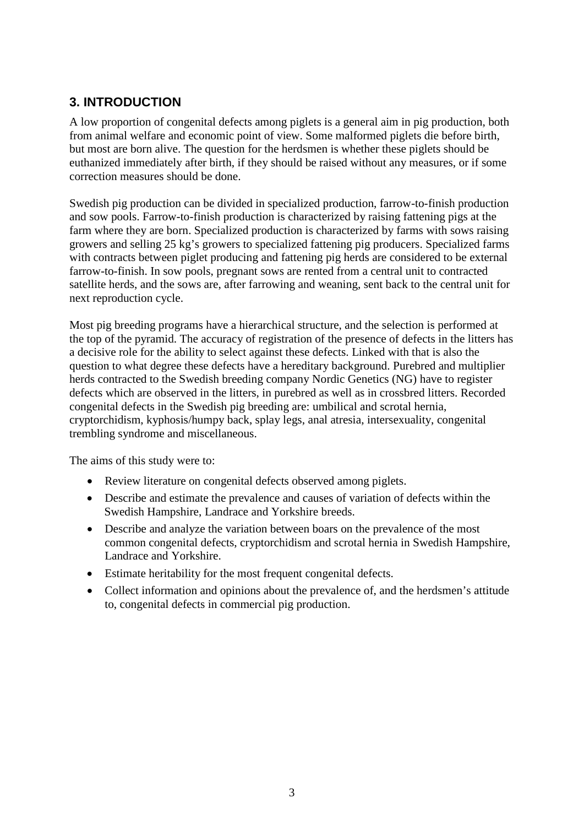### <span id="page-8-0"></span>**3. INTRODUCTION**

A low proportion of congenital defects among piglets is a general aim in pig production, both from animal welfare and economic point of view. Some malformed piglets die before birth, but most are born alive. The question for the herdsmen is whether these piglets should be euthanized immediately after birth, if they should be raised without any measures, or if some correction measures should be done.

Swedish pig production can be divided in specialized production, farrow-to-finish production and sow pools. Farrow-to-finish production is characterized by raising fattening pigs at the farm where they are born. Specialized production is characterized by farms with sows raising growers and selling 25 kg's growers to specialized fattening pig producers. Specialized farms with contracts between piglet producing and fattening pig herds are considered to be external farrow-to-finish. In sow pools, pregnant sows are rented from a central unit to contracted satellite herds, and the sows are, after farrowing and weaning, sent back to the central unit for next reproduction cycle.

Most pig breeding programs have a hierarchical structure, and the selection is performed at the top of the pyramid. The accuracy of registration of the presence of defects in the litters has a decisive role for the ability to select against these defects. Linked with that is also the question to what degree these defects have a hereditary background. Purebred and multiplier herds contracted to the Swedish breeding company Nordic Genetics (NG) have to register defects which are observed in the litters, in purebred as well as in crossbred litters. Recorded congenital defects in the Swedish pig breeding are: umbilical and scrotal hernia, cryptorchidism, kyphosis/humpy back, splay legs, anal atresia, intersexuality, congenital trembling syndrome and miscellaneous.

The aims of this study were to:

- Review literature on congenital defects observed among piglets.
- Describe and estimate the prevalence and causes of variation of defects within the Swedish Hampshire, Landrace and Yorkshire breeds.
- Describe and analyze the variation between boars on the prevalence of the most common congenital defects, cryptorchidism and scrotal hernia in Swedish Hampshire, Landrace and Yorkshire.
- Estimate heritability for the most frequent congenital defects.
- Collect information and opinions about the prevalence of, and the herdsmen's attitude to, congenital defects in commercial pig production.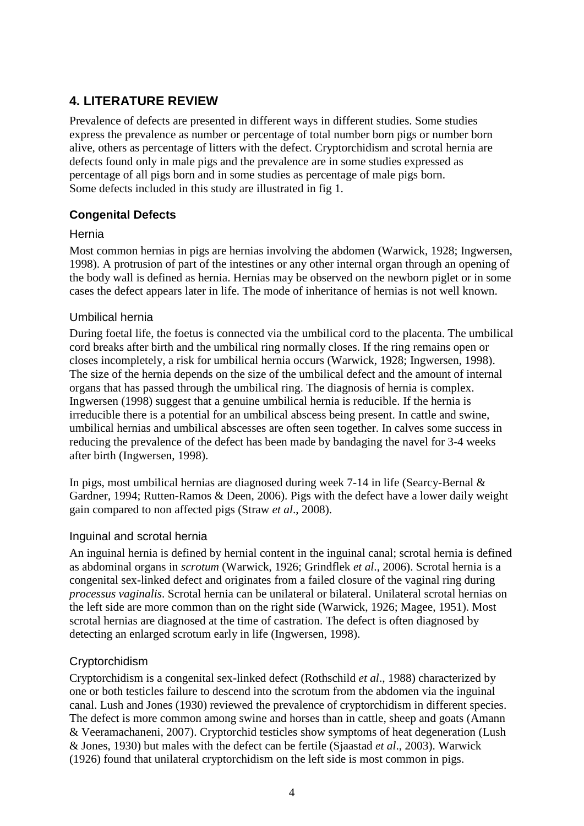# <span id="page-9-0"></span>**4. LITERATURE REVIEW**

Prevalence of defects are presented in different ways in different studies. Some studies express the prevalence as number or percentage of total number born pigs or number born alive, others as percentage of litters with the defect. Cryptorchidism and scrotal hernia are defects found only in male pigs and the prevalence are in some studies expressed as percentage of all pigs born and in some studies as percentage of male pigs born. Some defects included in this study are illustrated in fig 1.

### <span id="page-9-1"></span>**Congenital Defects**

#### <span id="page-9-2"></span>Hernia

Most common hernias in pigs are hernias involving the abdomen (Warwick, 1928; Ingwersen, 1998). A protrusion of part of the intestines or any other internal organ through an opening of the body wall is defined as hernia. Hernias may be observed on the newborn piglet or in some cases the defect appears later in life. The mode of inheritance of hernias is not well known.

#### <span id="page-9-3"></span>Umbilical hernia

During foetal life, the foetus is connected via the umbilical cord to the placenta. The umbilical cord breaks after birth and the umbilical ring normally closes. If the ring remains open or closes incompletely, a risk for umbilical hernia occurs (Warwick, 1928; Ingwersen, 1998). The size of the hernia depends on the size of the umbilical defect and the amount of internal organs that has passed through the umbilical ring. The diagnosis of hernia is complex. Ingwersen (1998) suggest that a genuine umbilical hernia is reducible. If the hernia is irreducible there is a potential for an umbilical abscess being present. In cattle and swine, umbilical hernias and umbilical abscesses are often seen together. In calves some success in reducing the prevalence of the defect has been made by bandaging the navel for 3-4 weeks after birth (Ingwersen, 1998).

In pigs, most umbilical hernias are diagnosed during week 7-14 in life (Searcy-Bernal & Gardner, 1994; Rutten-Ramos & Deen, 2006). Pigs with the defect have a lower daily weight gain compared to non affected pigs (Straw *et al*., 2008).

### <span id="page-9-4"></span>Inguinal and scrotal hernia

An inguinal hernia is defined by hernial content in the inguinal canal; scrotal hernia is defined as abdominal organs in *scrotum* (Warwick, 1926; Grindflek *et al*., 2006). Scrotal hernia is a congenital sex-linked defect and originates from a failed closure of the vaginal ring during *processus vaginalis*. Scrotal hernia can be unilateral or bilateral. Unilateral scrotal hernias on the left side are more common than on the right side (Warwick, 1926; Magee, 1951). Most scrotal hernias are diagnosed at the time of castration. The defect is often diagnosed by detecting an enlarged scrotum early in life (Ingwersen, 1998).

### <span id="page-9-5"></span>**Cryptorchidism**

Cryptorchidism is a congenital sex-linked defect (Rothschild *et al*., 1988) characterized by one or both testicles failure to descend into the scrotum from the abdomen via the inguinal canal. Lush and Jones (1930) reviewed the prevalence of cryptorchidism in different species. The defect is more common among swine and horses than in cattle, sheep and goats (Amann & Veeramachaneni, 2007). Cryptorchid testicles show symptoms of heat degeneration (Lush & Jones, 1930) but males with the defect can be fertile (Sjaastad *et al*., 2003). Warwick (1926) found that unilateral cryptorchidism on the left side is most common in pigs.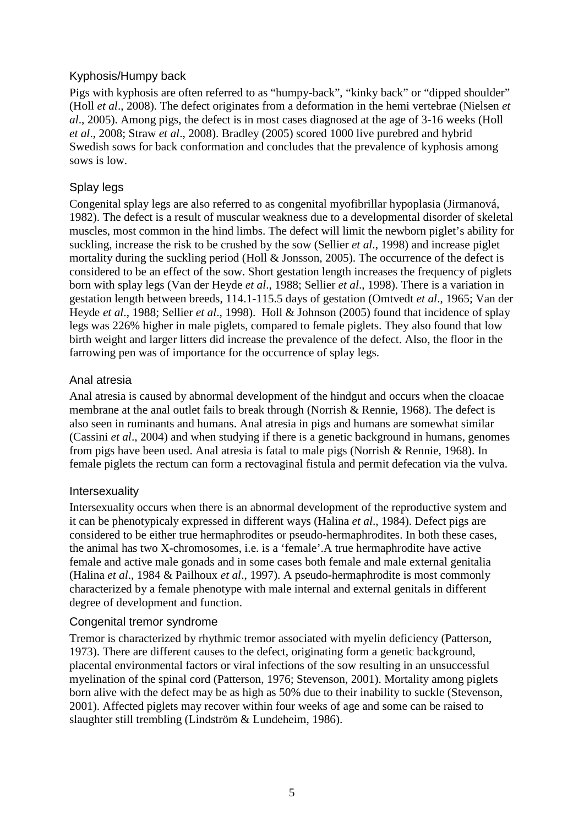#### <span id="page-10-0"></span>Kyphosis/Humpy back

Pigs with kyphosis are often referred to as "humpy-back", "kinky back" or "dipped shoulder" (Holl *et al*., 2008). The defect originates from a deformation in the hemi vertebrae (Nielsen *et al*., 2005). Among pigs, the defect is in most cases diagnosed at the age of 3-16 weeks (Holl *et al*., 2008; Straw *et al*., 2008). Bradley (2005) scored 1000 live purebred and hybrid Swedish sows for back conformation and concludes that the prevalence of kyphosis among sows is low.

### <span id="page-10-1"></span>Splay legs

Congenital splay legs are also referred to as congenital myofibrillar hypoplasia (Jirmanová, 1982). The defect is a result of muscular weakness due to a developmental disorder of skeletal muscles, most common in the hind limbs. The defect will limit the newborn piglet's ability for suckling, increase the risk to be crushed by the sow (Sellier *et al*., 1998) and increase piglet mortality during the suckling period (Holl & Jonsson, 2005). The occurrence of the defect is considered to be an effect of the sow. Short gestation length increases the frequency of piglets born with splay legs (Van der Heyde *et al*., 1988; Sellier *et al*., 1998). There is a variation in gestation length between breeds, 114.1-115.5 days of gestation (Omtvedt *et al*., 1965; Van der Heyde *et al*., 1988; Sellier *et al*., 1998). Holl & Johnson (2005) found that incidence of splay legs was 226% higher in male piglets, compared to female piglets. They also found that low birth weight and larger litters did increase the prevalence of the defect. Also, the floor in the farrowing pen was of importance for the occurrence of splay legs.

#### <span id="page-10-2"></span>Anal atresia

Anal atresia is caused by abnormal development of the hindgut and occurs when the cloacae membrane at the anal outlet fails to break through (Norrish & Rennie, 1968). The defect is also seen in ruminants and humans. Anal atresia in pigs and humans are somewhat similar (Cassini *et al*., 2004) and when studying if there is a genetic background in humans, genomes from pigs have been used. Anal atresia is fatal to male pigs (Norrish & Rennie, 1968). In female piglets the rectum can form a rectovaginal fistula and permit defecation via the vulva.

#### <span id="page-10-3"></span>Intersexuality

Intersexuality occurs when there is an abnormal development of the reproductive system and it can be phenotypicaly expressed in different ways (Halina *et al*., 1984). Defect pigs are considered to be either true hermaphrodites or pseudo-hermaphrodites. In both these cases, the animal has two X-chromosomes, i.e. is a 'female'.A true hermaphrodite have active female and active male gonads and in some cases both female and male external genitalia (Halina *et al*., 1984 & Pailhoux *et al*., 1997). A pseudo-hermaphrodite is most commonly characterized by a female phenotype with male internal and external genitals in different degree of development and function.

#### <span id="page-10-4"></span>Congenital tremor syndrome

Tremor is characterized by rhythmic tremor associated with myelin deficiency (Patterson, 1973). There are different causes to the defect, originating form a genetic background, placental environmental factors or viral infections of the sow resulting in an unsuccessful myelination of the spinal cord (Patterson, 1976; Stevenson, 2001). Mortality among piglets born alive with the defect may be as high as 50% due to their inability to suckle (Stevenson, 2001). Affected piglets may recover within four weeks of age and some can be raised to slaughter still trembling (Lindström & Lundeheim, 1986).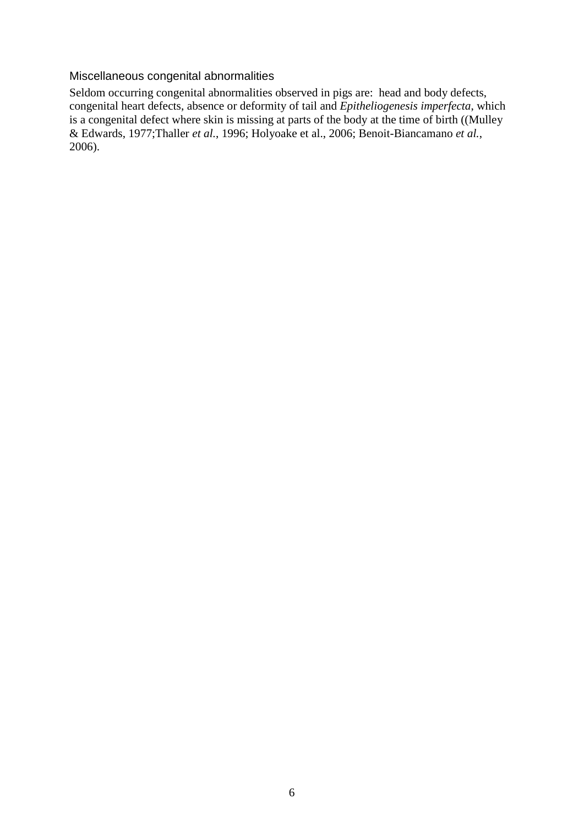#### <span id="page-11-0"></span>Miscellaneous congenital abnormalities

Seldom occurring congenital abnormalities observed in pigs are: head and body defects, congenital heart defects, absence or deformity of tail and *Epitheliogenesis imperfecta*, which is a congenital defect where skin is missing at parts of the body at the time of birth ((Mulley & Edwards, 1977;Thaller *et al.*, 1996; Holyoake et al., 2006; Benoit-Biancamano *et al.*, 2006).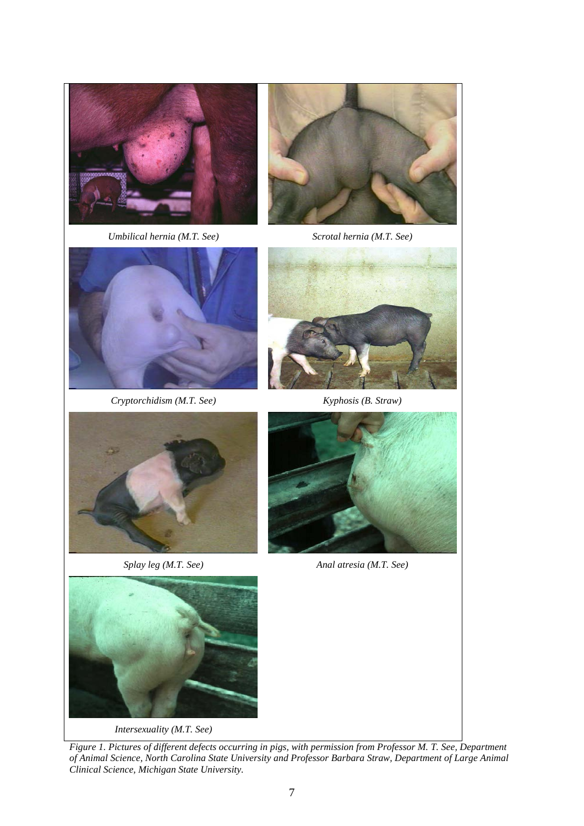













*Splay leg (M.T. See) Anal atresia (M.T. See)*



*Intersexuality (M.T. See)*

*Figure 1. Pictures of different defects occurring in pigs, with permission from Professor M. T. See, Department of Animal Science, North Carolina State University and Professor Barbara Straw, Department of Large Animal Clinical Science, Michigan State University.*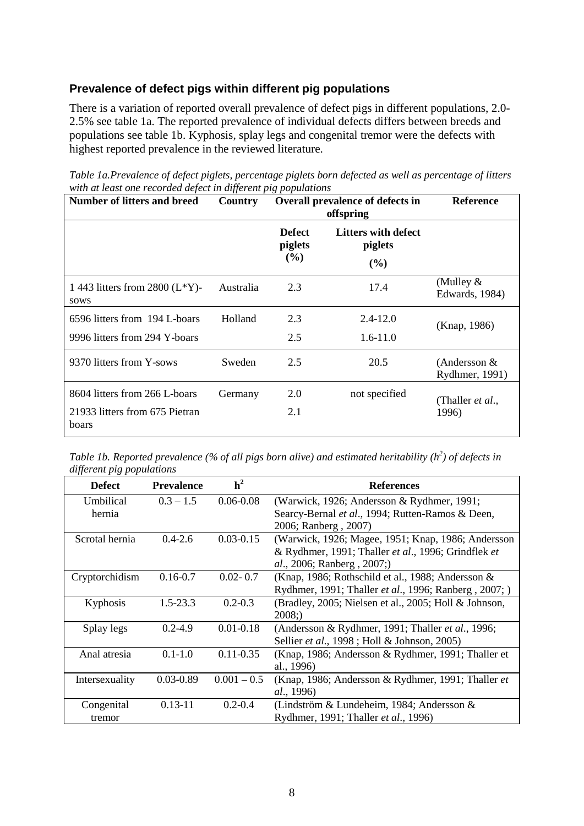#### <span id="page-13-0"></span>**Prevalence of defect pigs within different pig populations**

There is a variation of reported overall prevalence of defect pigs in different populations, 2.0- 2.5% see table 1a. The reported prevalence of individual defects differs between breeds and populations see table 1b. Kyphosis, splay legs and congenital tremor were the defects with highest reported prevalence in the reviewed literature.

| Table 1a.Prevalence of defect piglets, percentage piglets born defected as well as percentage of litters |
|----------------------------------------------------------------------------------------------------------|
| with at least one recorded defect in different pig populations                                           |

| Number of litters and breed                                              | Country   | Overall prevalence of defects in<br>offspring |                                       | <b>Reference</b>                  |
|--------------------------------------------------------------------------|-----------|-----------------------------------------------|---------------------------------------|-----------------------------------|
|                                                                          |           | <b>Defect</b><br>piglets<br>(%)               | Litters with defect<br>piglets<br>(%) |                                   |
| 1 443 litters from 2800 $(L*Y)$ -<br>sows                                | Australia | 2.3                                           | 17.4                                  | (Mulley $&$<br>Edwards, 1984)     |
| 6596 litters from 194 L-boars<br>9996 litters from 294 Y-boars           | Holland   | 2.3<br>2.5                                    | $2.4 - 12.0$<br>$1.6 - 11.0$          | (Knap, 1986)                      |
| 9370 litters from Y-sows                                                 | Sweden    | 2.5                                           | 20.5                                  | (Andersson $&$<br>Rydhmer, 1991)  |
| 8604 litters from 266 L-boars<br>21933 litters from 675 Pietran<br>boars | Germany   | 2.0<br>2.1                                    | not specified                         | (Thaller <i>et al.</i> ,<br>1996) |

*Table 1b. Reported prevalence (% of all pigs born alive) and estimated heritability (h<sup>2</sup>) of defects in different pig populations*

| <b>Defect</b>  | <b>Prevalence</b> | h <sup>2</sup> | <b>References</b>                                     |
|----------------|-------------------|----------------|-------------------------------------------------------|
| Umbilical      | $0.3 - 1.5$       | $0.06 - 0.08$  | (Warwick, 1926; Andersson & Rydhmer, 1991;            |
| hernia         |                   |                | Searcy-Bernal et al., 1994; Rutten-Ramos & Deen,      |
|                |                   |                | 2006; Ranberg, 2007)                                  |
| Scrotal hernia | $0.4 - 2.6$       | $0.03 - 0.15$  | (Warwick, 1926; Magee, 1951; Knap, 1986; Andersson    |
|                |                   |                | & Rydhmer, 1991; Thaller et al., 1996; Grindflek et   |
|                |                   |                | al., 2006; Ranberg, 2007;)                            |
| Cryptorchidism | $0.16 - 0.7$      | $0.02 - 0.7$   | (Knap, 1986; Rothschild et al., 1988; Andersson &     |
|                |                   |                | Rydhmer, 1991; Thaller et al., 1996; Ranberg, 2007; ) |
| Kyphosis       | $1.5 - 23.3$      | $0.2 - 0.3$    | (Bradley, 2005; Nielsen et al., 2005; Holl & Johnson, |
|                |                   |                | 2008:                                                 |
| Splay legs     | $0.2 - 4.9$       | $0.01 - 0.18$  | (Andersson & Rydhmer, 1991; Thaller et al., 1996;     |
|                |                   |                | Sellier et al., 1998; Holl & Johnson, 2005)           |
| Anal atresia   | $0.1 - 1.0$       | $0.11 - 0.35$  | (Knap, 1986; Andersson & Rydhmer, 1991; Thaller et    |
|                |                   |                | al., 1996)                                            |
| Intersexuality | $0.03 - 0.89$     | $0.001 - 0.5$  | (Knap, 1986; Andersson & Rydhmer, 1991; Thaller et    |
|                |                   |                | al., 1996)                                            |
| Congenital     | $0.13 - 11$       | $0.2 - 0.4$    | (Lindström & Lundeheim, 1984; Andersson $\&$          |
| tremor         |                   |                | Rydhmer, 1991; Thaller et al., 1996)                  |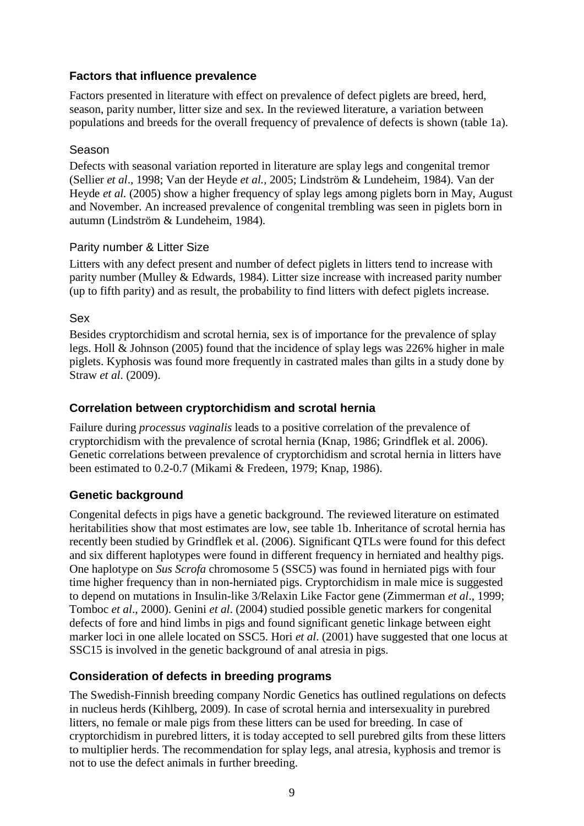#### <span id="page-14-0"></span>**Factors that influence prevalence**

Factors presented in literature with effect on prevalence of defect piglets are breed, herd, season, parity number, litter size and sex. In the reviewed literature, a variation between populations and breeds for the overall frequency of prevalence of defects is shown (table 1a).

#### <span id="page-14-1"></span>Season

Defects with seasonal variation reported in literature are splay legs and congenital tremor (Sellier *et al*., 1998; Van der Heyde *et al.,* 2005; Lindström & Lundeheim, 1984). Van der Heyde *et al.* (2005) show a higher frequency of splay legs among piglets born in May, August and November. An increased prevalence of congenital trembling was seen in piglets born in autumn (Lindström & Lundeheim, 1984).

#### <span id="page-14-2"></span>Parity number & Litter Size

Litters with any defect present and number of defect piglets in litters tend to increase with parity number (Mulley & Edwards, 1984). Litter size increase with increased parity number (up to fifth parity) and as result, the probability to find litters with defect piglets increase.

#### <span id="page-14-3"></span>Sex

Besides cryptorchidism and scrotal hernia, sex is of importance for the prevalence of splay legs. Holl & Johnson (2005) found that the incidence of splay legs was 226% higher in male piglets. Kyphosis was found more frequently in castrated males than gilts in a study done by Straw *et al*. (2009).

### <span id="page-14-4"></span>**Correlation between cryptorchidism and scrotal hernia**

Failure during *processus vaginalis* leads to a positive correlation of the prevalence of cryptorchidism with the prevalence of scrotal hernia (Knap, 1986; Grindflek et al. 2006). Genetic correlations between prevalence of cryptorchidism and scrotal hernia in litters have been estimated to 0.2-0.7 (Mikami & Fredeen, 1979; Knap, 1986).

### <span id="page-14-5"></span>**Genetic background**

Congenital defects in pigs have a genetic background. The reviewed literature on estimated heritabilities show that most estimates are low, see table 1b. Inheritance of scrotal hernia has recently been studied by Grindflek et al. (2006). Significant QTLs were found for this defect and six different haplotypes were found in different frequency in herniated and healthy pigs. One haplotype on *Sus Scrofa* chromosome 5 (SSC5) was found in herniated pigs with four time higher frequency than in non-herniated pigs. Cryptorchidism in male mice is suggested to depend on mutations in Insulin-like 3/Relaxin Like Factor gene (Zimmerman *et al*., 1999; Tomboc *et al*., 2000). Genini *et al*. (2004) studied possible genetic markers for congenital defects of fore and hind limbs in pigs and found significant genetic linkage between eight marker loci in one allele located on SSC5. Hori *et al*. (2001) have suggested that one locus at SSC15 is involved in the genetic background of anal atresia in pigs.

### <span id="page-14-6"></span>**Consideration of defects in breeding programs**

The Swedish-Finnish breeding company Nordic Genetics has outlined regulations on defects in nucleus herds (Kihlberg, 2009). In case of scrotal hernia and intersexuality in purebred litters, no female or male pigs from these litters can be used for breeding. In case of cryptorchidism in purebred litters, it is today accepted to sell purebred gilts from these litters to multiplier herds. The recommendation for splay legs, anal atresia, kyphosis and tremor is not to use the defect animals in further breeding.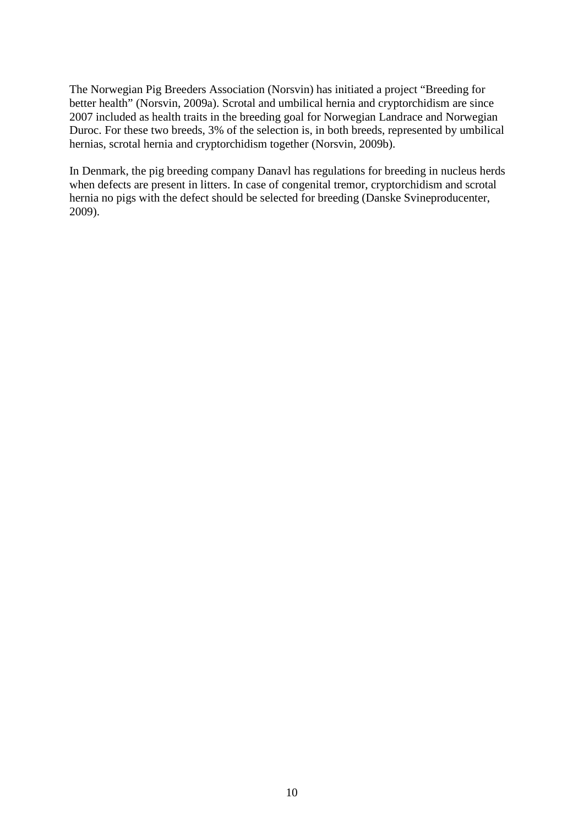The Norwegian Pig Breeders Association (Norsvin) has initiated a project "Breeding for better health" (Norsvin, 2009a). Scrotal and umbilical hernia and cryptorchidism are since 2007 included as health traits in the breeding goal for Norwegian Landrace and Norwegian Duroc. For these two breeds, 3% of the selection is, in both breeds, represented by umbilical hernias, scrotal hernia and cryptorchidism together (Norsvin, 2009b).

In Denmark, the pig breeding company Danavl has regulations for breeding in nucleus herds when defects are present in litters. In case of congenital tremor, cryptorchidism and scrotal hernia no pigs with the defect should be selected for breeding (Danske Svineproducenter, 2009).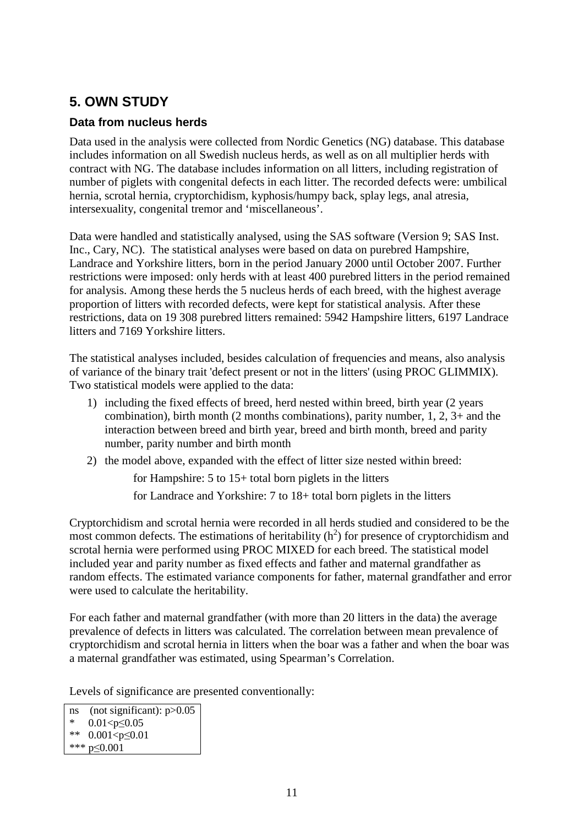# <span id="page-16-0"></span>**5. OWN STUDY**

### <span id="page-16-1"></span>**Data from nucleus herds**

Data used in the analysis were collected from Nordic Genetics (NG) database. This database includes information on all Swedish nucleus herds, as well as on all multiplier herds with contract with NG. The database includes information on all litters, including registration of number of piglets with congenital defects in each litter. The recorded defects were: umbilical hernia, scrotal hernia, cryptorchidism, kyphosis/humpy back, splay legs, anal atresia, intersexuality, congenital tremor and 'miscellaneous'.

Data were handled and statistically analysed, using the SAS software (Version 9; SAS Inst. Inc., Cary, NC). The statistical analyses were based on data on purebred Hampshire, Landrace and Yorkshire litters, born in the period January 2000 until October 2007. Further restrictions were imposed: only herds with at least 400 purebred litters in the period remained for analysis. Among these herds the 5 nucleus herds of each breed, with the highest average proportion of litters with recorded defects, were kept for statistical analysis. After these restrictions, data on 19 308 purebred litters remained: 5942 Hampshire litters, 6197 Landrace litters and 7169 Yorkshire litters.

The statistical analyses included, besides calculation of frequencies and means, also analysis of variance of the binary trait 'defect present or not in the litters' (using PROC GLIMMIX). Two statistical models were applied to the data:

- 1) including the fixed effects of breed, herd nested within breed, birth year (2 years combination), birth month (2 months combinations), parity number, 1, 2, 3+ and the interaction between breed and birth year, breed and birth month, breed and parity number, parity number and birth month
- 2) the model above, expanded with the effect of litter size nested within breed:

for Hampshire: 5 to 15+ total born piglets in the litters

for Landrace and Yorkshire: 7 to 18+ total born piglets in the litters

Cryptorchidism and scrotal hernia were recorded in all herds studied and considered to be the most common defects. The estimations of heritability  $(h^2)$  for presence of cryptorchidism and scrotal hernia were performed using PROC MIXED for each breed. The statistical model included year and parity number as fixed effects and father and maternal grandfather as random effects. The estimated variance components for father, maternal grandfather and error were used to calculate the heritability.

For each father and maternal grandfather (with more than 20 litters in the data) the average prevalence of defects in litters was calculated. The correlation between mean prevalence of cryptorchidism and scrotal hernia in litters when the boar was a father and when the boar was a maternal grandfather was estimated, using Spearman's Correlation.

Levels of significance are presented conventionally:

ns (not significant): p>0.05 \*  $0.01 < p \le 0.05$ \*\* 0.001<p≤0.01 \*\*\* p≤0.001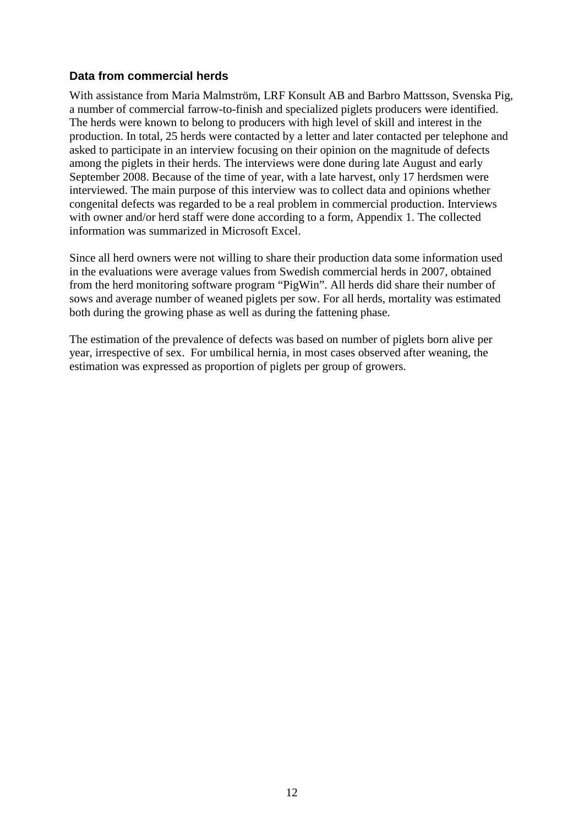#### <span id="page-17-0"></span>**Data from commercial herds**

With assistance from Maria Malmström, LRF Konsult AB and Barbro Mattsson, Svenska Pig, a number of commercial farrow-to-finish and specialized piglets producers were identified. The herds were known to belong to producers with high level of skill and interest in the production. In total, 25 herds were contacted by a letter and later contacted per telephone and asked to participate in an interview focusing on their opinion on the magnitude of defects among the piglets in their herds. The interviews were done during late August and early September 2008. Because of the time of year, with a late harvest, only 17 herdsmen were interviewed. The main purpose of this interview was to collect data and opinions whether congenital defects was regarded to be a real problem in commercial production. Interviews with owner and/or herd staff were done according to a form, Appendix 1. The collected information was summarized in Microsoft Excel.

Since all herd owners were not willing to share their production data some information used in the evaluations were average values from Swedish commercial herds in 2007, obtained from the herd monitoring software program "PigWin". All herds did share their number of sows and average number of weaned piglets per sow. For all herds, mortality was estimated both during the growing phase as well as during the fattening phase.

The estimation of the prevalence of defects was based on number of piglets born alive per year, irrespective of sex. For umbilical hernia, in most cases observed after weaning, the estimation was expressed as proportion of piglets per group of growers.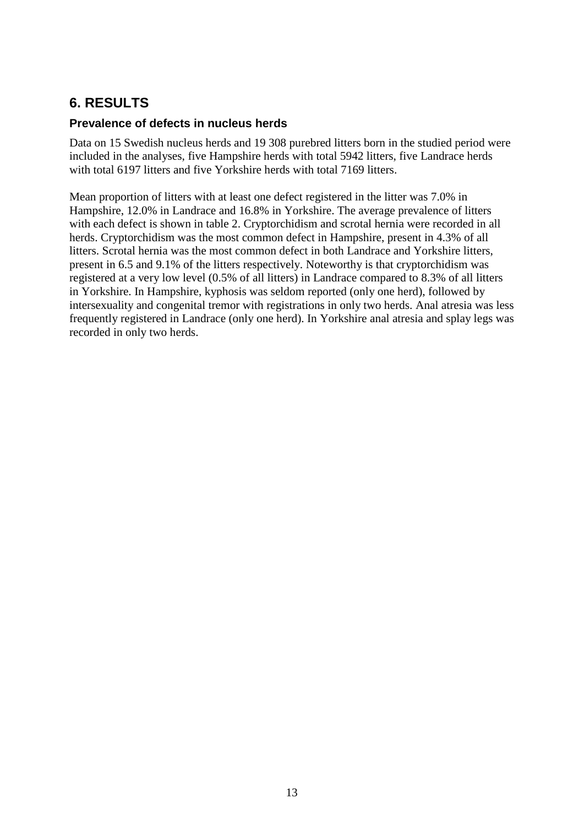# <span id="page-18-0"></span>**6. RESULTS**

#### <span id="page-18-1"></span>**Prevalence of defects in nucleus herds**

Data on 15 Swedish nucleus herds and 19 308 purebred litters born in the studied period were included in the analyses, five Hampshire herds with total 5942 litters, five Landrace herds with total 6197 litters and five Yorkshire herds with total 7169 litters.

Mean proportion of litters with at least one defect registered in the litter was 7.0% in Hampshire, 12.0% in Landrace and 16.8% in Yorkshire. The average prevalence of litters with each defect is shown in table 2. Cryptorchidism and scrotal hernia were recorded in all herds. Cryptorchidism was the most common defect in Hampshire, present in 4.3% of all litters. Scrotal hernia was the most common defect in both Landrace and Yorkshire litters, present in 6.5 and 9.1% of the litters respectively. Noteworthy is that cryptorchidism was registered at a very low level (0.5% of all litters) in Landrace compared to 8.3% of all litters in Yorkshire. In Hampshire, kyphosis was seldom reported (only one herd), followed by intersexuality and congenital tremor with registrations in only two herds. Anal atresia was less frequently registered in Landrace (only one herd). In Yorkshire anal atresia and splay legs was recorded in only two herds.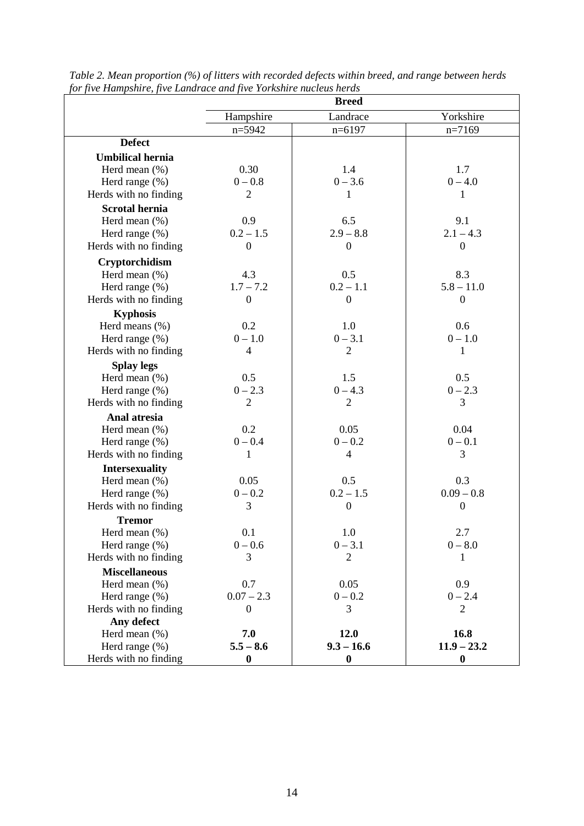|                         | <b>Breed</b>     |                  |                  |  |  |
|-------------------------|------------------|------------------|------------------|--|--|
|                         | Hampshire        | Landrace         | Yorkshire        |  |  |
|                         | $n=5942$         | $n=6197$         | $n=7169$         |  |  |
| <b>Defect</b>           |                  |                  |                  |  |  |
| <b>Umbilical hernia</b> |                  |                  |                  |  |  |
| Herd mean $(\%)$        | 0.30             | 1.4              | 1.7              |  |  |
| Herd range $(\%)$       | $0 - 0.8$        | $0 - 3.6$        | $0 - 4.0$        |  |  |
| Herds with no finding   | $\overline{2}$   | 1                | 1                |  |  |
| <b>Scrotal hernia</b>   |                  |                  |                  |  |  |
| Herd mean $(\% )$       | 0.9              | 6.5              | 9.1              |  |  |
| Herd range $(\% )$      | $0.2 - 1.5$      | $2.9 - 8.8$      | $2.1 - 4.3$      |  |  |
| Herds with no finding   | $\mathbf{0}$     | $\overline{0}$   | $\mathbf{0}$     |  |  |
| Cryptorchidism          |                  |                  |                  |  |  |
| Herd mean $(\%)$        | 4.3              | 0.5              | 8.3              |  |  |
| Herd range $(\%)$       | $1.7 - 7.2$      | $0.2 - 1.1$      | $5.8 - 11.0$     |  |  |
| Herds with no finding   | $\boldsymbol{0}$ | $\overline{0}$   | $\mathbf{0}$     |  |  |
| <b>Kyphosis</b>         |                  |                  |                  |  |  |
| Herd means $(\%)$       | 0.2              | 1.0              | 0.6              |  |  |
| Herd range (%)          | $0 - 1.0$        | $0 - 3.1$        | $0 - 1.0$        |  |  |
| Herds with no finding   | $\overline{4}$   | $\overline{2}$   | $\mathbf{1}$     |  |  |
| <b>Splay legs</b>       |                  |                  |                  |  |  |
| Herd mean $(\%)$        | 0.5              | 1.5              | 0.5              |  |  |
| Herd range (%)          | $0 - 2.3$        | $0 - 4.3$        | $0 - 2.3$        |  |  |
| Herds with no finding   | $\overline{2}$   | $\overline{2}$   | 3                |  |  |
| Anal atresia            |                  |                  |                  |  |  |
| Herd mean $(\%)$        | 0.2              | 0.05             | 0.04             |  |  |
| Herd range $(\%)$       | $0 - 0.4$        | $0 - 0.2$        | $0 - 0.1$        |  |  |
| Herds with no finding   | 1                | $\overline{4}$   | 3                |  |  |
| <b>Intersexuality</b>   |                  |                  |                  |  |  |
| Herd mean $(\% )$       | 0.05             | 0.5              | 0.3              |  |  |
| Herd range (%)          | $0 - 0.2$        | $0.2 - 1.5$      | $0.09 - 0.8$     |  |  |
| Herds with no finding   | 3                | $\boldsymbol{0}$ | $\mathbf{0}$     |  |  |
| <b>Tremor</b>           |                  |                  |                  |  |  |
| Herd mean $(\%)$        | 0.1              | 1.0              | 2.7              |  |  |
| Herd range $(\%)$       | $0 - 0.6$        | $0 - 3.1$        | $0 - 8.0$        |  |  |
| Herds with no finding   | 3                | $\overline{2}$   | 1                |  |  |
| <b>Miscellaneous</b>    |                  |                  |                  |  |  |
| Herd mean $(\%)$        | 0.7              | 0.05             | 0.9              |  |  |
| Herd range $(\% )$      | $0.07 - 2.3$     | $0 - 0.2$        | $0 - 2.4$        |  |  |
| Herds with no finding   | $\boldsymbol{0}$ | 3                | $\overline{2}$   |  |  |
| Any defect              |                  |                  |                  |  |  |
| Herd mean (%)           | 7.0              | 12.0             | 16.8             |  |  |
| Herd range $(\%)$       | $5.5 - 8.6$      | $9.3 - 16.6$     | $11.9 - 23.2$    |  |  |
| Herds with no finding   | $\boldsymbol{0}$ | $\boldsymbol{0}$ | $\boldsymbol{0}$ |  |  |

*Table 2. Mean proportion (%) of litters with recorded defects within breed, and range between herds for five Hampshire, five Landrace and five Yorkshire nucleus herds*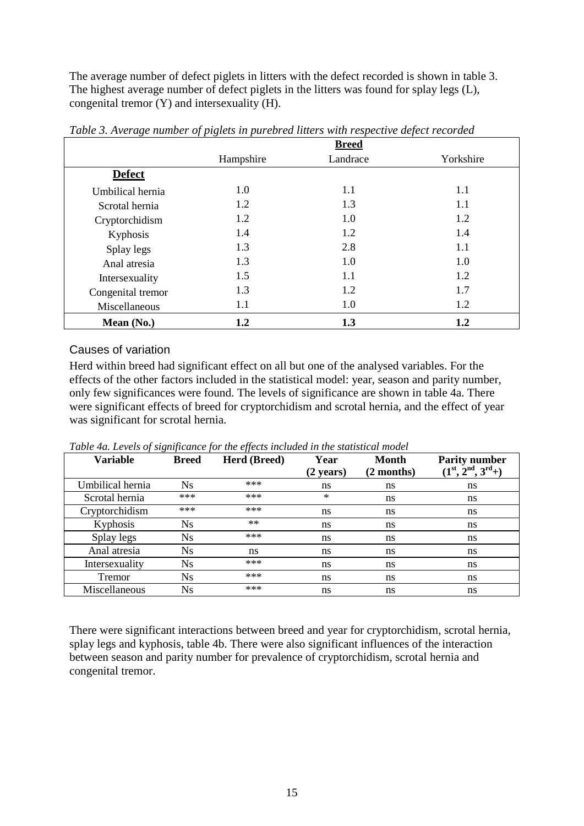The average number of defect piglets in litters with the defect recorded is shown in table 3. The highest average number of defect piglets in the litters was found for splay legs (L), congenital tremor (Y) and intersexuality (H).

| - . - - <i>. -</i> o |           | <b>Breed</b> |           |
|----------------------|-----------|--------------|-----------|
|                      | Hampshire | Landrace     | Yorkshire |
| <b>Defect</b>        |           |              |           |
| Umbilical hernia     | 1.0       | 1.1          | 1.1       |
| Scrotal hernia       | 1.2       | 1.3          | 1.1       |
| Cryptorchidism       | 1.2       | 1.0          | 1.2       |
| Kyphosis             | 1.4       | 1.2          | 1.4       |
| Splay legs           | 1.3       | 2.8          | 1.1       |
| Anal atresia         | 1.3       | 1.0          | 1.0       |
| Intersexuality       | 1.5       | 1.1          | 1.2       |
| Congenital tremor    | 1.3       | 1.2          | 1.7       |
| Miscellaneous        | 1.1       | 1.0          | 1.2       |
| Mean $(No.)$         | 1.2       | 1.3          | 1.2       |

*Table 3. Average number of piglets in purebred litters with respective defect recorded*

#### <span id="page-20-0"></span>Causes of variation

Herd within breed had significant effect on all but one of the analysed variables. For the effects of the other factors included in the statistical model: year, season and parity number, only few significances were found. The levels of significance are shown in table 4a. There were significant effects of breed for cryptorchidism and scrotal hernia, and the effect of year was significant for scrotal hernia.

*Table 4a. Levels of significance for the effects included in the statistical model*

| <b>Variable</b>  | <b>Breed</b> | <b>Herd (Breed)</b> | Year<br>$(2 \text{ years})$ | Month<br>(2 months) | <b>Parity number</b><br>$(1^{\text{st}}, 2^{\text{nd}}, 3^{\text{rd}}+)$ |
|------------------|--------------|---------------------|-----------------------------|---------------------|--------------------------------------------------------------------------|
| Umbilical hernia | Ns.          | ***                 | ns                          | ns                  | ns                                                                       |
| Scrotal hernia   | ***          | $***$               | ∗                           | ns                  | ns                                                                       |
| Cryptorchidism   | ***          | $***$               | ns                          | ns                  | ns                                                                       |
| Kyphosis         | Ns           | $**$                | ns                          | ns                  | ns                                                                       |
| Splay legs       | Ns           | ***                 | ns                          | ns                  | ns                                                                       |
| Anal atresia     | Ns           | ns                  | ns                          | ns                  | ns                                                                       |
| Intersexuality   | Ns           | ***                 | ns                          | ns                  | ns                                                                       |
| Tremor           | Ns           | ***                 | ns                          | ns                  | ns                                                                       |
| Miscellaneous    | Ns           | ***                 | ns                          | ns                  | ns                                                                       |

There were significant interactions between breed and year for cryptorchidism, scrotal hernia, splay legs and kyphosis, table 4b. There were also significant influences of the interaction between season and parity number for prevalence of cryptorchidism, scrotal hernia and congenital tremor.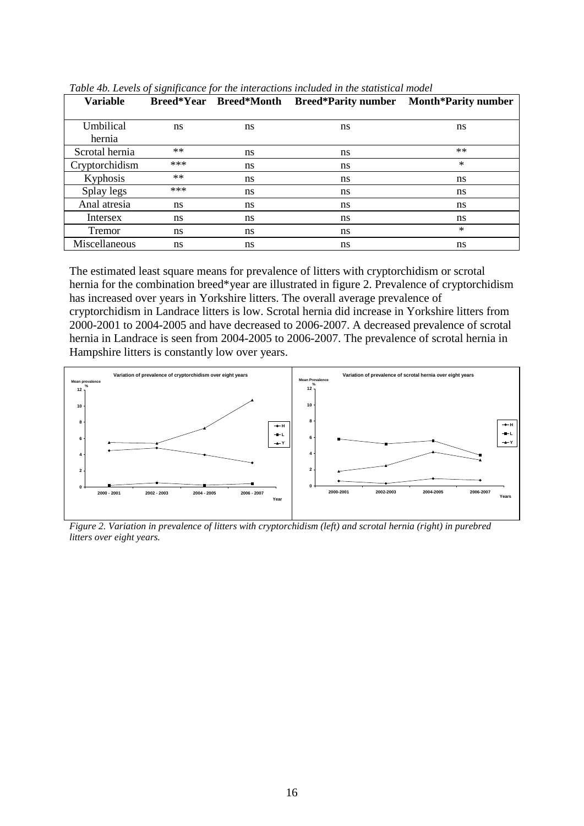| <b>Variable</b> | Breed*Year Breed*Month |               | <b>Breed*Parity number</b> | <b>Month*Parity number</b> |
|-----------------|------------------------|---------------|----------------------------|----------------------------|
|                 |                        |               |                            |                            |
| Umbilical       | ns                     | ns            | ns                         | ns                         |
| hernia          |                        |               |                            |                            |
| Scrotal hernia  | $**$                   | ns            | ns                         | $**$                       |
| Cryptorchidism  | ***                    | ns            | ns                         | $\ast$                     |
| Kyphosis        | $**$                   | ns            | ns                         | ns                         |
| Splay legs      | ***                    | ns            | ns                         | ns                         |
| Anal atresia    | ns                     | <sub>ns</sub> | ns                         | ns                         |
| Intersex        | ns                     | ns            | ns                         | ns                         |
| Tremor          | ns                     | ns            | ns                         | $\ast$                     |
| Miscellaneous   | ns                     | ns            | ns                         | ns                         |

*Table 4b. Levels of significance for the interactions included in the statistical model*

The estimated least square means for prevalence of litters with cryptorchidism or scrotal hernia for the combination breed\*year are illustrated in figure 2. Prevalence of cryptorchidism has increased over years in Yorkshire litters. The overall average prevalence of cryptorchidism in Landrace litters is low. Scrotal hernia did increase in Yorkshire litters from 2000-2001 to 2004-2005 and have decreased to 2006-2007. A decreased prevalence of scrotal hernia in Landrace is seen from 2004-2005 to 2006-2007. The prevalence of scrotal hernia in Hampshire litters is constantly low over years.



*Figure 2. Variation in prevalence of litters with cryptorchidism (left) and scrotal hernia (right) in purebred litters over eight years.*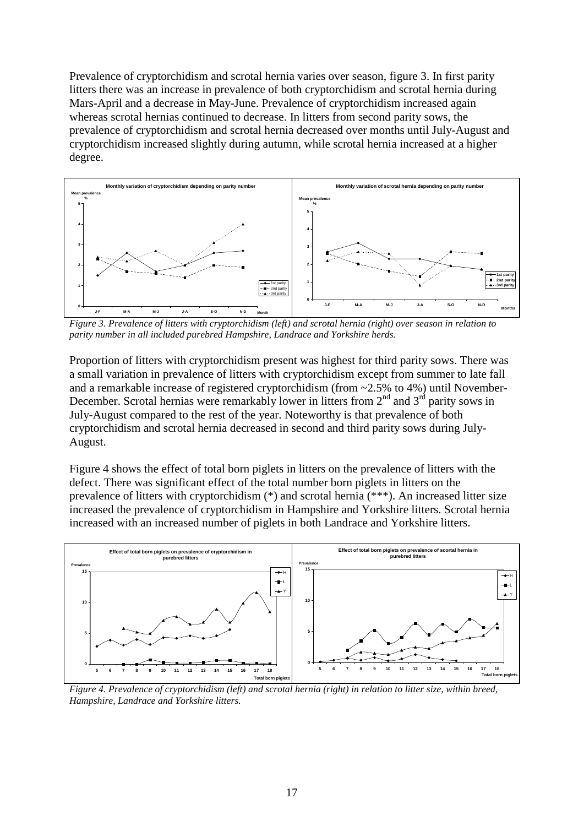Prevalence of cryptorchidism and scrotal hernia varies over season, figure 3. In first parity litters there was an increase in prevalence of both cryptorchidism and scrotal hernia during Mars-April and a decrease in May-June. Prevalence of cryptorchidism increased again whereas scrotal hernias continued to decrease. In litters from second parity sows, the prevalence of cryptorchidism and scrotal hernia decreased over months until July-August and cryptorchidism increased slightly during autumn, while scrotal hernia increased at a higher degree.



*Figure 3. Prevalence of litters with cryptorchidism (left) and scrotal hernia (right) over season in relation to parity number in all included purebred Hampshire, Landrace and Yorkshire herds.*

Proportion of litters with cryptorchidism present was highest for third parity sows. There was a small variation in prevalence of litters with cryptorchidism except from summer to late fall and a remarkable increase of registered cryptorchidism (from  $\sim$ 2.5% to 4%) until November-December. Scrotal hernias were remarkably lower in litters from  $2<sup>nd</sup>$  and  $3<sup>rd</sup>$  parity sows in July-August compared to the rest of the year. Noteworthy is that prevalence of both cryptorchidism and scrotal hernia decreased in second and third parity sows during July-August.

Figure 4 shows the effect of total born piglets in litters on the prevalence of litters with the defect. There was significant effect of the total number born piglets in litters on the prevalence of litters with cryptorchidism (\*) and scrotal hernia (\*\*\*). An increased litter size increased the prevalence of cryptorchidism in Hampshire and Yorkshire litters. Scrotal hernia increased with an increased number of piglets in both Landrace and Yorkshire litters.



*Figure 4. Prevalence of cryptorchidism (left) and scrotal hernia (right) in relation to litter size, within breed, Hampshire, Landrace and Yorkshire litters.*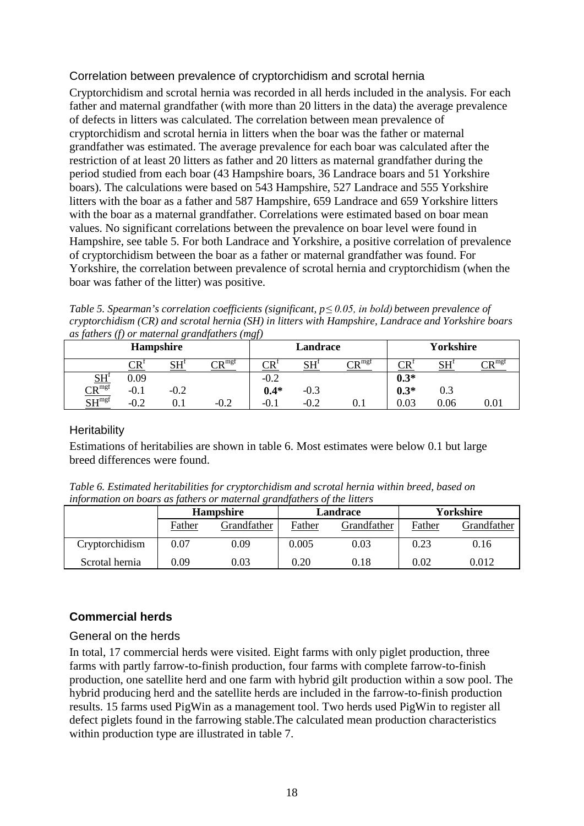### <span id="page-23-0"></span>Correlation between prevalence of cryptorchidism and scrotal hernia

Cryptorchidism and scrotal hernia was recorded in all herds included in the analysis. For each father and maternal grandfather (with more than 20 litters in the data) the average prevalence of defects in litters was calculated. The correlation between mean prevalence of cryptorchidism and scrotal hernia in litters when the boar was the father or maternal grandfather was estimated. The average prevalence for each boar was calculated after the restriction of at least 20 litters as father and 20 litters as maternal grandfather during the period studied from each boar (43 Hampshire boars, 36 Landrace boars and 51 Yorkshire boars). The calculations were based on 543 Hampshire, 527 Landrace and 555 Yorkshire litters with the boar as a father and 587 Hampshire, 659 Landrace and 659 Yorkshire litters with the boar as a maternal grandfather. Correlations were estimated based on boar mean values. No significant correlations between the prevalence on boar level were found in Hampshire, see table 5. For both Landrace and Yorkshire, a positive correlation of prevalence of cryptorchidism between the boar as a father or maternal grandfather was found. For Yorkshire, the correlation between prevalence of scrotal hernia and cryptorchidism (when the boar was father of the litter) was positive.

*Table 5. Spearman's correlation coefficients (significant, p≤ 0.05, in bold) between prevalence of cryptorchidism (CR) and scrotal hernia (SH) in litters with Hampshire, Landrace and Yorkshire boars as fathers (f) or maternal grandfathers (mgf)*

| <br>$\mathcal{L}$<br><b>Hampshire</b>                 |                           |        |                       | $\cdots \alpha'$<br><b>Landrace</b> |            |                            | Yorkshire             |                     |                            |
|-------------------------------------------------------|---------------------------|--------|-----------------------|-------------------------------------|------------|----------------------------|-----------------------|---------------------|----------------------------|
|                                                       | $\mathbb{C} \mathbb{R}^1$ | C11    | $\sim$ p $^{\rm mgf}$ | $\mathbb{C}\mathsf{R}^3$            | CIL<br>ບ⊥⊥ | $\mathrm{CR}^\mathrm{mgf}$ | $\operatorname{CR}^!$ | $\mathbf{H}$<br>ບ⊥⊥ | $\mathsf{CP}^{\text{mgf}}$ |
|                                                       | 0.09                      |        |                       | $-0.2$                              |            |                            | $0.3*$                |                     |                            |
| $\frac{\text{SH}^{\text{f}}}{\text{SH}^{\text{mgf}}}$ | $-0.1$                    | $-0.2$ |                       | $0.4*$                              | $-0.3$     |                            | $0.3*$                | 0.3                 |                            |
|                                                       | $-0.2$                    |        | $-0.2$                | v.ı                                 | $-0.2$     | $\rm 0.1$                  | 0.03                  | 0.06                | 0.01                       |

#### <span id="page-23-1"></span>**Heritability**

Estimations of heritabilies are shown in table 6. Most estimates were below 0.1 but large breed differences were found.

*Table 6. Estimated heritabilities for cryptorchidism and scrotal hernia within breed, based on information on boars as fathers or maternal grandfathers of the litters*

|                | <b>Hampshire</b>      |      | Landrace |             | Yorkshire |             |
|----------------|-----------------------|------|----------|-------------|-----------|-------------|
|                | Grandfather<br>Father |      | Father   | Grandfather | Father    | Grandfather |
| Cryptorchidism | $\rm 0.07$            | 0.09 | 0.005    | 0.03        | 0.23      | 0.16        |
| Scrotal hernia | 0.09                  | 0.03 | 0.20     | 0.18        | 0.02      | 0.012       |

### <span id="page-23-2"></span>**Commercial herds**

#### <span id="page-23-3"></span>General on the herds

In total, 17 commercial herds were visited. Eight farms with only piglet production, three farms with partly farrow-to-finish production, four farms with complete farrow-to-finish production, one satellite herd and one farm with hybrid gilt production within a sow pool. The hybrid producing herd and the satellite herds are included in the farrow-to-finish production results. 15 farms used PigWin as a management tool. Two herds used PigWin to register all defect piglets found in the farrowing stable.The calculated mean production characteristics within production type are illustrated in table 7.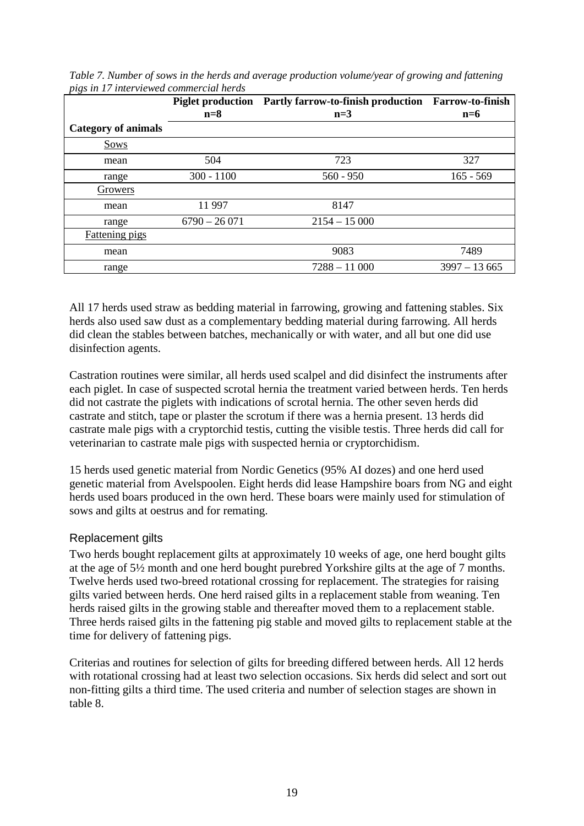| $\sqrt{ }$                 | $n=8$          | Piglet production Partly farrow-to-finish production Farrow-to-finish<br>$n=3$ | $n=6$          |
|----------------------------|----------------|--------------------------------------------------------------------------------|----------------|
| <b>Category of animals</b> |                |                                                                                |                |
| Sows                       |                |                                                                                |                |
| mean                       | 504            | 723                                                                            | 327            |
| range                      | $300 - 1100$   | $560 - 950$                                                                    | $165 - 569$    |
| Growers                    |                |                                                                                |                |
| mean                       | 11 997         | 8147                                                                           |                |
| range                      | $6790 - 26071$ | $2154 - 15000$                                                                 |                |
| <b>Fattening pigs</b>      |                |                                                                                |                |
| mean                       |                | 9083                                                                           | 7489           |
| range                      |                | $7288 - 11000$                                                                 | $3997 - 13665$ |

*Table 7. Number of sows in the herds and average production volume/year of growing and fattening pigs in 17 interviewed commercial herds*

All 17 herds used straw as bedding material in farrowing, growing and fattening stables. Six herds also used saw dust as a complementary bedding material during farrowing. All herds did clean the stables between batches, mechanically or with water, and all but one did use disinfection agents.

Castration routines were similar, all herds used scalpel and did disinfect the instruments after each piglet. In case of suspected scrotal hernia the treatment varied between herds. Ten herds did not castrate the piglets with indications of scrotal hernia. The other seven herds did castrate and stitch, tape or plaster the scrotum if there was a hernia present. 13 herds did castrate male pigs with a cryptorchid testis, cutting the visible testis. Three herds did call for veterinarian to castrate male pigs with suspected hernia or cryptorchidism.

15 herds used genetic material from Nordic Genetics (95% AI dozes) and one herd used genetic material from Avelspoolen. Eight herds did lease Hampshire boars from NG and eight herds used boars produced in the own herd. These boars were mainly used for stimulation of sows and gilts at oestrus and for remating.

#### <span id="page-24-0"></span>Replacement gilts

Two herds bought replacement gilts at approximately 10 weeks of age, one herd bought gilts at the age of 5½ month and one herd bought purebred Yorkshire gilts at the age of 7 months. Twelve herds used two-breed rotational crossing for replacement. The strategies for raising gilts varied between herds. One herd raised gilts in a replacement stable from weaning. Ten herds raised gilts in the growing stable and thereafter moved them to a replacement stable. Three herds raised gilts in the fattening pig stable and moved gilts to replacement stable at the time for delivery of fattening pigs.

Criterias and routines for selection of gilts for breeding differed between herds. All 12 herds with rotational crossing had at least two selection occasions. Six herds did select and sort out non-fitting gilts a third time. The used criteria and number of selection stages are shown in table 8.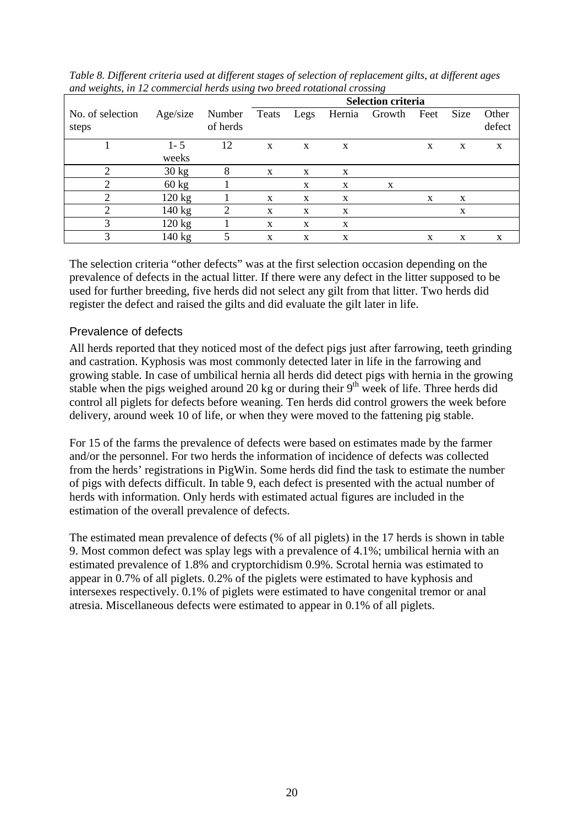| $\mathbf{\mathcal{C}}$<br>$\sim$ |                  |                    | $\circ$<br>$\mathbf\sigma$<br><b>Selection criteria</b> |             |        |        |      |      |                 |
|----------------------------------|------------------|--------------------|---------------------------------------------------------|-------------|--------|--------|------|------|-----------------|
| No. of selection<br>steps        | Age/size         | Number<br>of herds | Teats                                                   | Legs        | Hernia | Growth | Feet | Size | Other<br>defect |
|                                  | $1 - 5$<br>weeks | 12                 | X                                                       | $\mathbf X$ | X      |        | X    | X    | X               |
| $\overline{2}$                   | $30 \text{ kg}$  | 8                  | X                                                       | X           | X      |        |      |      |                 |
|                                  | $60 \text{ kg}$  |                    |                                                         | X           | X      | X      |      |      |                 |
| 2                                | 120 kg           |                    | X                                                       | X           | X      |        | X    | X    |                 |
| 2                                | 140 kg           | $\overline{2}$     | X                                                       | X           | X      |        |      | X    |                 |
|                                  | 120 kg           |                    | X                                                       | X           | X      |        |      |      |                 |
| 3                                | 140 kg           | 5                  | X                                                       | X           | X      |        | X    | X    | X               |

*Table 8. Different criteria used at different stages of selection of replacement gilts, at different ages and weights, in 12 commercial herds using two breed rotational crossing*

The selection criteria "other defects" was at the first selection occasion depending on the prevalence of defects in the actual litter. If there were any defect in the litter supposed to be used for further breeding, five herds did not select any gilt from that litter. Two herds did register the defect and raised the gilts and did evaluate the gilt later in life.

#### <span id="page-25-0"></span>Prevalence of defects

All herds reported that they noticed most of the defect pigs just after farrowing, teeth grinding and castration. Kyphosis was most commonly detected later in life in the farrowing and growing stable. In case of umbilical hernia all herds did detect pigs with hernia in the growing stable when the pigs weighed around 20 kg or during their  $9<sup>th</sup>$  week of life. Three herds did control all piglets for defects before weaning. Ten herds did control growers the week before delivery, around week 10 of life, or when they were moved to the fattening pig stable.

For 15 of the farms the prevalence of defects were based on estimates made by the farmer and/or the personnel. For two herds the information of incidence of defects was collected from the herds' registrations in PigWin. Some herds did find the task to estimate the number of pigs with defects difficult. In table 9, each defect is presented with the actual number of herds with information. Only herds with estimated actual figures are included in the estimation of the overall prevalence of defects.

The estimated mean prevalence of defects (% of all piglets) in the 17 herds is shown in table 9. Most common defect was splay legs with a prevalence of 4.1%; umbilical hernia with an estimated prevalence of 1.8% and cryptorchidism 0.9%. Scrotal hernia was estimated to appear in 0.7% of all piglets. 0.2% of the piglets were estimated to have kyphosis and intersexes respectively. 0.1% of piglets were estimated to have congenital tremor or anal atresia. Miscellaneous defects were estimated to appear in 0.1% of all piglets.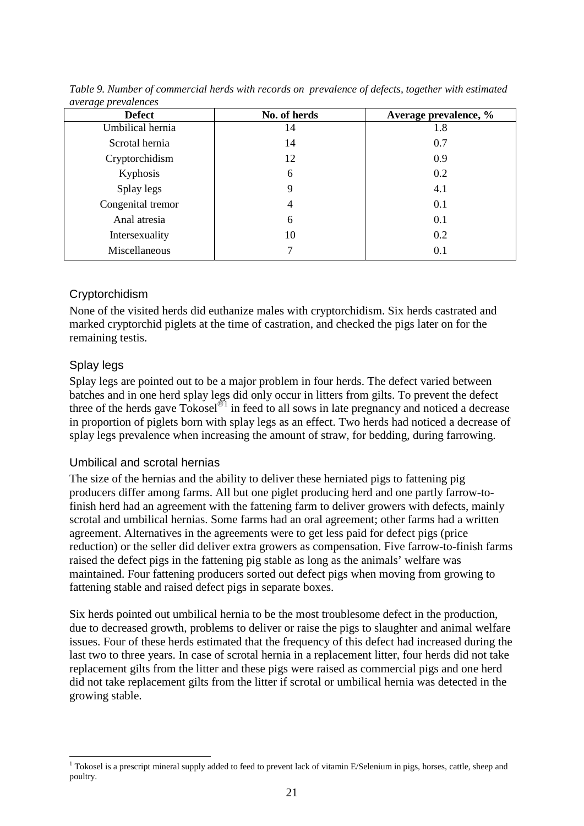| <b>Defect</b>     | No. of herds | Average prevalence, % |  |  |  |
|-------------------|--------------|-----------------------|--|--|--|
| Umbilical hernia  | 14           | 1.8                   |  |  |  |
| Scrotal hernia    | 14           | 0.7                   |  |  |  |
| Cryptorchidism    | 12           | 0.9                   |  |  |  |
| Kyphosis          | 6            | 0.2                   |  |  |  |
| Splay legs        | 9            | 4.1                   |  |  |  |
| Congenital tremor | 4            | 0.1                   |  |  |  |
| Anal atresia      | 6            | 0.1                   |  |  |  |
| Intersexuality    | 10           | 0.2                   |  |  |  |
| Miscellaneous     |              | 0.1                   |  |  |  |

*Table 9. Number of commercial herds with records on prevalence of defects, together with estimated average prevalences*

### <span id="page-26-0"></span>Cryptorchidism

None of the visited herds did euthanize males with cryptorchidism. Six herds castrated and marked cryptorchid piglets at the time of castration, and checked the pigs later on for the remaining testis.

#### <span id="page-26-1"></span>Splay legs

Splay legs are pointed out to be a major problem in four herds. The defect varied between batches and in one herd splay legs did only occur in litters from gilts. To prevent the defect three of the herds gave Tokosel<sup>®[1](#page-29-4)</sup> in feed to all sows in late pregnancy and noticed a decrease in proportion of piglets born with splay legs as an effect. Two herds had noticed a decrease of splay legs prevalence when increasing the amount of straw, for bedding, during farrowing.

#### <span id="page-26-2"></span>Umbilical and scrotal hernias

The size of the hernias and the ability to deliver these herniated pigs to fattening pig producers differ among farms. All but one piglet producing herd and one partly farrow-tofinish herd had an agreement with the fattening farm to deliver growers with defects, mainly scrotal and umbilical hernias. Some farms had an oral agreement; other farms had a written agreement. Alternatives in the agreements were to get less paid for defect pigs (price reduction) or the seller did deliver extra growers as compensation. Five farrow-to-finish farms raised the defect pigs in the fattening pig stable as long as the animals' welfare was maintained. Four fattening producers sorted out defect pigs when moving from growing to fattening stable and raised defect pigs in separate boxes.

Six herds pointed out umbilical hernia to be the most troublesome defect in the production, due to decreased growth, problems to deliver or raise the pigs to slaughter and animal welfare issues. Four of these herds estimated that the frequency of this defect had increased during the last two to three years. In case of scrotal hernia in a replacement litter, four herds did not take replacement gilts from the litter and these pigs were raised as commercial pigs and one herd did not take replacement gilts from the litter if scrotal or umbilical hernia was detected in the growing stable.

 $1$  Tokosel is a prescript mineral supply added to feed to prevent lack of vitamin E/Selenium in pigs, horses, cattle, sheep and poultry.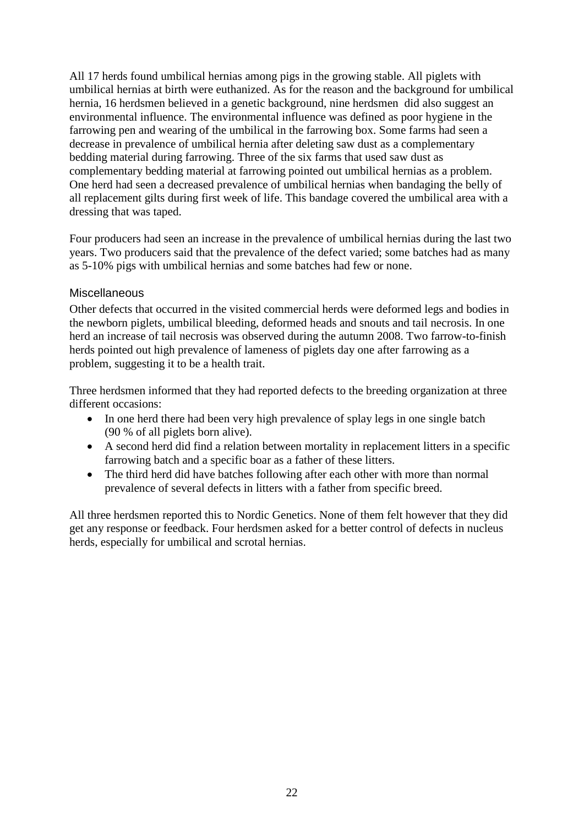All 17 herds found umbilical hernias among pigs in the growing stable. All piglets with umbilical hernias at birth were euthanized. As for the reason and the background for umbilical hernia, 16 herdsmen believed in a genetic background, nine herdsmen did also suggest an environmental influence. The environmental influence was defined as poor hygiene in the farrowing pen and wearing of the umbilical in the farrowing box. Some farms had seen a decrease in prevalence of umbilical hernia after deleting saw dust as a complementary bedding material during farrowing. Three of the six farms that used saw dust as complementary bedding material at farrowing pointed out umbilical hernias as a problem. One herd had seen a decreased prevalence of umbilical hernias when bandaging the belly of all replacement gilts during first week of life. This bandage covered the umbilical area with a dressing that was taped.

Four producers had seen an increase in the prevalence of umbilical hernias during the last two years. Two producers said that the prevalence of the defect varied; some batches had as many as 5-10% pigs with umbilical hernias and some batches had few or none.

#### <span id="page-27-0"></span>**Miscellaneous**

Other defects that occurred in the visited commercial herds were deformed legs and bodies in the newborn piglets, umbilical bleeding, deformed heads and snouts and tail necrosis. In one herd an increase of tail necrosis was observed during the autumn 2008. Two farrow-to-finish herds pointed out high prevalence of lameness of piglets day one after farrowing as a problem, suggesting it to be a health trait.

Three herdsmen informed that they had reported defects to the breeding organization at three different occasions:

- In one herd there had been very high prevalence of splay legs in one single batch (90 % of all piglets born alive).
- A second herd did find a relation between mortality in replacement litters in a specific farrowing batch and a specific boar as a father of these litters.
- The third herd did have batches following after each other with more than normal prevalence of several defects in litters with a father from specific breed.

All three herdsmen reported this to Nordic Genetics. None of them felt however that they did get any response or feedback. Four herdsmen asked for a better control of defects in nucleus herds, especially for umbilical and scrotal hernias.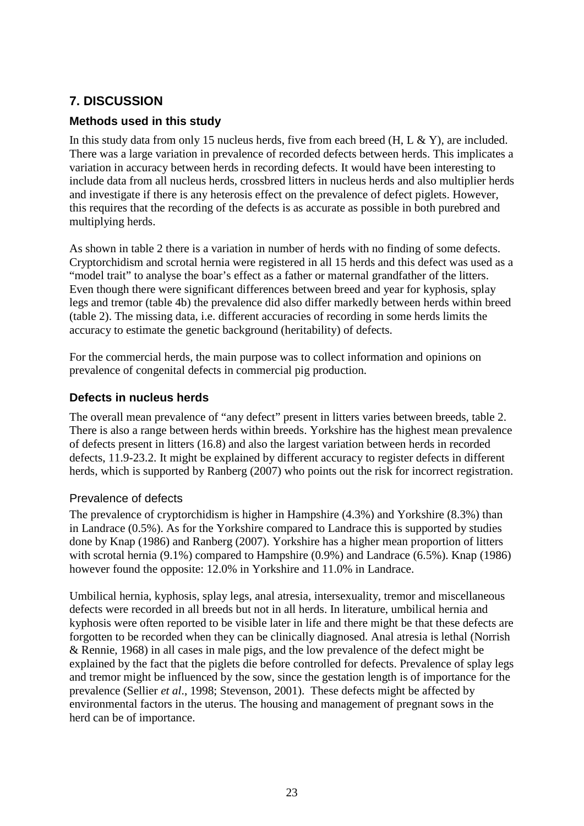# <span id="page-28-0"></span>**7. DISCUSSION**

### <span id="page-28-1"></span>**Methods used in this study**

In this study data from only 15 nucleus herds, five from each breed  $(H, L & K)$ , are included. There was a large variation in prevalence of recorded defects between herds. This implicates a variation in accuracy between herds in recording defects. It would have been interesting to include data from all nucleus herds, crossbred litters in nucleus herds and also multiplier herds and investigate if there is any heterosis effect on the prevalence of defect piglets. However, this requires that the recording of the defects is as accurate as possible in both purebred and multiplying herds.

As shown in table 2 there is a variation in number of herds with no finding of some defects. Cryptorchidism and scrotal hernia were registered in all 15 herds and this defect was used as a "model trait" to analyse the boar's effect as a father or maternal grandfather of the litters. Even though there were significant differences between breed and year for kyphosis, splay legs and tremor (table 4b) the prevalence did also differ markedly between herds within breed (table 2). The missing data, i.e. different accuracies of recording in some herds limits the accuracy to estimate the genetic background (heritability) of defects.

For the commercial herds, the main purpose was to collect information and opinions on prevalence of congenital defects in commercial pig production.

#### <span id="page-28-2"></span>**Defects in nucleus herds**

The overall mean prevalence of "any defect" present in litters varies between breeds, table 2. There is also a range between herds within breeds. Yorkshire has the highest mean prevalence of defects present in litters (16.8) and also the largest variation between herds in recorded defects, 11.9-23.2. It might be explained by different accuracy to register defects in different herds, which is supported by Ranberg (2007) who points out the risk for incorrect registration.

#### <span id="page-28-3"></span>Prevalence of defects

The prevalence of cryptorchidism is higher in Hampshire (4.3%) and Yorkshire (8.3%) than in Landrace (0.5%). As for the Yorkshire compared to Landrace this is supported by studies done by Knap (1986) and Ranberg (2007). Yorkshire has a higher mean proportion of litters with scrotal hernia (9.1%) compared to Hampshire (0.9%) and Landrace (6.5%). Knap (1986) however found the opposite: 12.0% in Yorkshire and 11.0% in Landrace.

Umbilical hernia, kyphosis, splay legs, anal atresia, intersexuality, tremor and miscellaneous defects were recorded in all breeds but not in all herds. In literature, umbilical hernia and kyphosis were often reported to be visible later in life and there might be that these defects are forgotten to be recorded when they can be clinically diagnosed. Anal atresia is lethal (Norrish & Rennie, 1968) in all cases in male pigs, and the low prevalence of the defect might be explained by the fact that the piglets die before controlled for defects. Prevalence of splay legs and tremor might be influenced by the sow, since the gestation length is of importance for the prevalence (Sellier *et al*., 1998; Stevenson, 2001). These defects might be affected by environmental factors in the uterus. The housing and management of pregnant sows in the herd can be of importance.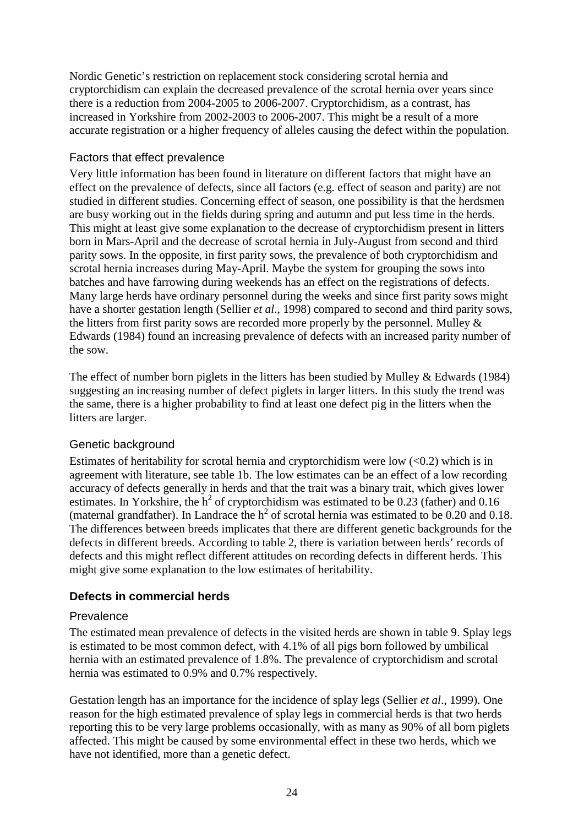Nordic Genetic's restriction on replacement stock considering scrotal hernia and cryptorchidism can explain the decreased prevalence of the scrotal hernia over years since there is a reduction from 2004-2005 to 2006-2007. Cryptorchidism, as a contrast, has increased in Yorkshire from 2002-2003 to 2006-2007. This might be a result of a more accurate registration or a higher frequency of alleles causing the defect within the population.

#### <span id="page-29-0"></span>Factors that effect prevalence

Very little information has been found in literature on different factors that might have an effect on the prevalence of defects, since all factors (e.g. effect of season and parity) are not studied in different studies. Concerning effect of season, one possibility is that the herdsmen are busy working out in the fields during spring and autumn and put less time in the herds. This might at least give some explanation to the decrease of cryptorchidism present in litters born in Mars-April and the decrease of scrotal hernia in July-August from second and third parity sows. In the opposite, in first parity sows, the prevalence of both cryptorchidism and scrotal hernia increases during May-April. Maybe the system for grouping the sows into batches and have farrowing during weekends has an effect on the registrations of defects. Many large herds have ordinary personnel during the weeks and since first parity sows might have a shorter gestation length (Sellier *et al*., 1998) compared to second and third parity sows, the litters from first parity sows are recorded more properly by the personnel. Mulley & Edwards (1984) found an increasing prevalence of defects with an increased parity number of the sow.

The effect of number born piglets in the litters has been studied by Mulley & Edwards (1984) suggesting an increasing number of defect piglets in larger litters. In this study the trend was the same, there is a higher probability to find at least one defect pig in the litters when the litters are larger.

### <span id="page-29-1"></span>Genetic background

Estimates of heritability for scrotal hernia and cryptorchidism were low  $(<0.2$ ) which is in agreement with literature, see table 1b. The low estimates can be an effect of a low recording accuracy of defects generally in herds and that the trait was a binary trait, which gives lower estimates. In Yorkshire, the  $h^2$  of cryptorchidism was estimated to be 0.23 (father) and 0.16 (maternal grandfather). In Landrace the  $h^2$  of scrotal hernia was estimated to be 0.20 and 0.18. The differences between breeds implicates that there are different genetic backgrounds for the defects in different breeds. According to table 2, there is variation between herds' records of defects and this might reflect different attitudes on recording defects in different herds. This might give some explanation to the low estimates of heritability.

### <span id="page-29-2"></span>**Defects in commercial herds**

#### <span id="page-29-3"></span>Prevalence

The estimated mean prevalence of defects in the visited herds are shown in table 9. Splay legs is estimated to be most common defect, with 4.1% of all pigs born followed by umbilical hernia with an estimated prevalence of 1.8%. The prevalence of cryptorchidism and scrotal hernia was estimated to 0.9% and 0.7% respectively.

<span id="page-29-4"></span>Gestation length has an importance for the incidence of splay legs (Sellier *et al*., 1999). One reason for the high estimated prevalence of splay legs in commercial herds is that two herds reporting this to be very large problems occasionally, with as many as 90% of all born piglets affected. This might be caused by some environmental effect in these two herds, which we have not identified, more than a genetic defect.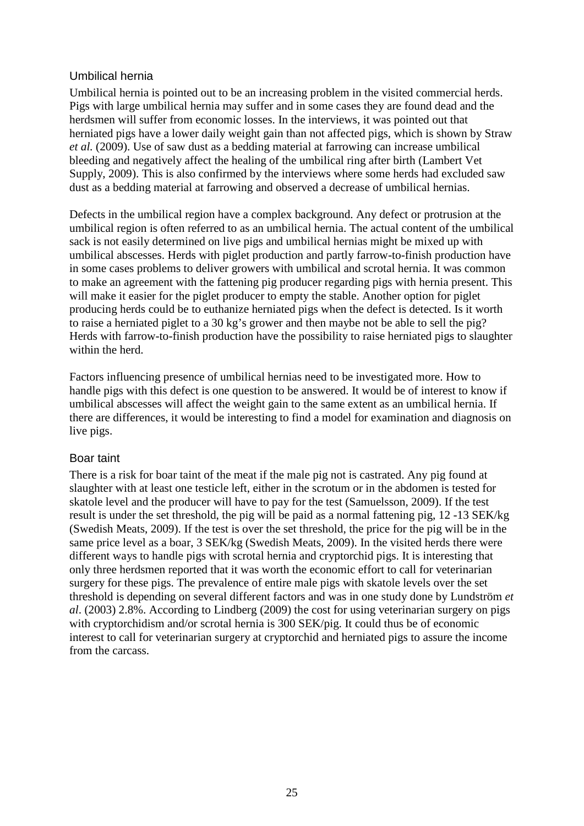#### <span id="page-30-0"></span>Umbilical hernia

Umbilical hernia is pointed out to be an increasing problem in the visited commercial herds. Pigs with large umbilical hernia may suffer and in some cases they are found dead and the herdsmen will suffer from economic losses. In the interviews, it was pointed out that herniated pigs have a lower daily weight gain than not affected pigs, which is shown by Straw *et al.* (2009). Use of saw dust as a bedding material at farrowing can increase umbilical bleeding and negatively affect the healing of the umbilical ring after birth (Lambert Vet Supply, 2009). This is also confirmed by the interviews where some herds had excluded saw dust as a bedding material at farrowing and observed a decrease of umbilical hernias.

Defects in the umbilical region have a complex background. Any defect or protrusion at the umbilical region is often referred to as an umbilical hernia. The actual content of the umbilical sack is not easily determined on live pigs and umbilical hernias might be mixed up with umbilical abscesses. Herds with piglet production and partly farrow-to-finish production have in some cases problems to deliver growers with umbilical and scrotal hernia. It was common to make an agreement with the fattening pig producer regarding pigs with hernia present. This will make it easier for the piglet producer to empty the stable. Another option for piglet producing herds could be to euthanize herniated pigs when the defect is detected. Is it worth to raise a herniated piglet to a 30 kg's grower and then maybe not be able to sell the pig? Herds with farrow-to-finish production have the possibility to raise herniated pigs to slaughter within the herd.

Factors influencing presence of umbilical hernias need to be investigated more. How to handle pigs with this defect is one question to be answered. It would be of interest to know if umbilical abscesses will affect the weight gain to the same extent as an umbilical hernia. If there are differences, it would be interesting to find a model for examination and diagnosis on live pigs.

#### <span id="page-30-1"></span>Boar taint

There is a risk for boar taint of the meat if the male pig not is castrated. Any pig found at slaughter with at least one testicle left, either in the scrotum or in the abdomen is tested for skatole level and the producer will have to pay for the test (Samuelsson, 2009). If the test result is under the set threshold, the pig will be paid as a normal fattening pig, 12 -13 SEK/kg (Swedish Meats, 2009). If the test is over the set threshold, the price for the pig will be in the same price level as a boar, 3 SEK/kg (Swedish Meats, 2009). In the visited herds there were different ways to handle pigs with scrotal hernia and cryptorchid pigs. It is interesting that only three herdsmen reported that it was worth the economic effort to call for veterinarian surgery for these pigs. The prevalence of entire male pigs with skatole levels over the set threshold is depending on several different factors and was in one study done by Lundström *et al*. (2003) 2.8%. According to Lindberg (2009) the cost for using veterinarian surgery on pigs with cryptorchidism and/or scrotal hernia is 300 SEK/pig. It could thus be of economic interest to call for veterinarian surgery at cryptorchid and herniated pigs to assure the income from the carcass.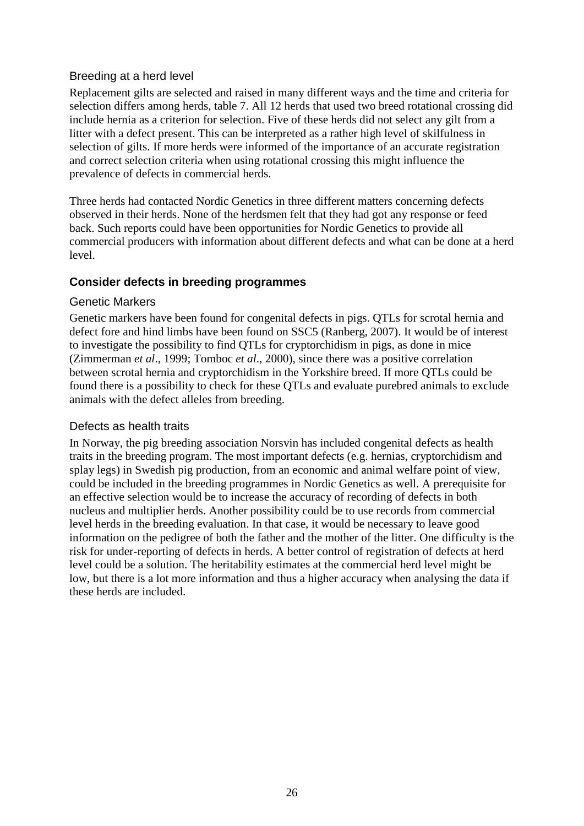#### <span id="page-31-0"></span>Breeding at a herd level

Replacement gilts are selected and raised in many different ways and the time and criteria for selection differs among herds, table 7. All 12 herds that used two breed rotational crossing did include hernia as a criterion for selection. Five of these herds did not select any gilt from a litter with a defect present. This can be interpreted as a rather high level of skilfulness in selection of gilts. If more herds were informed of the importance of an accurate registration and correct selection criteria when using rotational crossing this might influence the prevalence of defects in commercial herds.

Three herds had contacted Nordic Genetics in three different matters concerning defects observed in their herds. None of the herdsmen felt that they had got any response or feed back. Such reports could have been opportunities for Nordic Genetics to provide all commercial producers with information about different defects and what can be done at a herd level.

### <span id="page-31-1"></span>**Consider defects in breeding programmes**

#### <span id="page-31-2"></span>Genetic Markers

Genetic markers have been found for congenital defects in pigs. QTLs for scrotal hernia and defect fore and hind limbs have been found on SSC5 (Ranberg, 2007). It would be of interest to investigate the possibility to find QTLs for cryptorchidism in pigs, as done in mice (Zimmerman *et al*., 1999; Tomboc *et al*., 2000), since there was a positive correlation between scrotal hernia and cryptorchidism in the Yorkshire breed. If more QTLs could be found there is a possibility to check for these QTLs and evaluate purebred animals to exclude animals with the defect alleles from breeding.

### <span id="page-31-3"></span>Defects as health traits

In Norway, the pig breeding association Norsvin has included congenital defects as health traits in the breeding program. The most important defects (e.g. hernias, cryptorchidism and splay legs) in Swedish pig production, from an economic and animal welfare point of view, could be included in the breeding programmes in Nordic Genetics as well. A prerequisite for an effective selection would be to increase the accuracy of recording of defects in both nucleus and multiplier herds. Another possibility could be to use records from commercial level herds in the breeding evaluation. In that case, it would be necessary to leave good information on the pedigree of both the father and the mother of the litter. One difficulty is the risk for under-reporting of defects in herds. A better control of registration of defects at herd level could be a solution. The heritability estimates at the commercial herd level might be low, but there is a lot more information and thus a higher accuracy when analysing the data if these herds are included.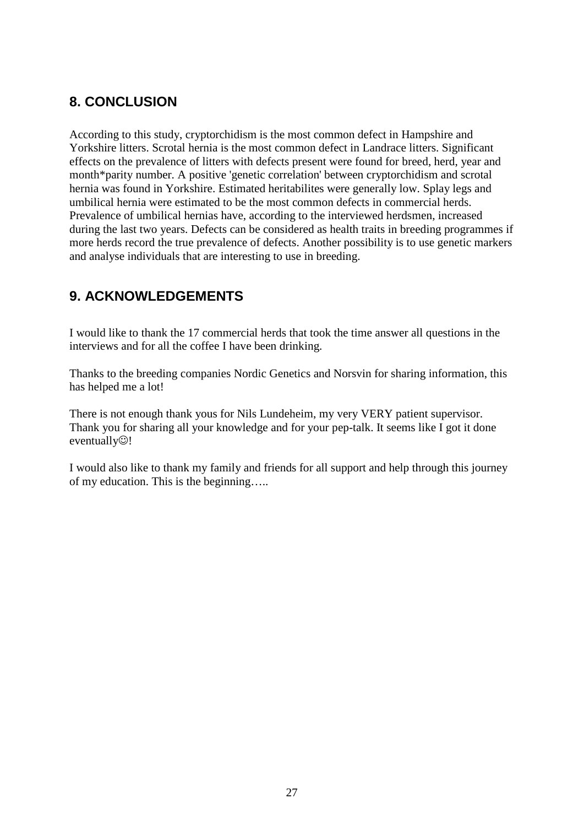# <span id="page-32-0"></span>**8. CONCLUSION**

According to this study, cryptorchidism is the most common defect in Hampshire and Yorkshire litters. Scrotal hernia is the most common defect in Landrace litters. Significant effects on the prevalence of litters with defects present were found for breed, herd, year and month\*parity number. A positive 'genetic correlation' between cryptorchidism and scrotal hernia was found in Yorkshire. Estimated heritabilites were generally low. Splay legs and umbilical hernia were estimated to be the most common defects in commercial herds. Prevalence of umbilical hernias have, according to the interviewed herdsmen, increased during the last two years. Defects can be considered as health traits in breeding programmes if more herds record the true prevalence of defects. Another possibility is to use genetic markers and analyse individuals that are interesting to use in breeding.

# <span id="page-32-1"></span>**9. ACKNOWLEDGEMENTS**

I would like to thank the 17 commercial herds that took the time answer all questions in the interviews and for all the coffee I have been drinking.

Thanks to the breeding companies Nordic Genetics and Norsvin for sharing information, this has helped me a lot!

There is not enough thank yous for Nils Lundeheim, my very VERY patient supervisor. Thank you for sharing all your knowledge and for your pep-talk. It seems like I got it done eventually $\circledcirc$ !

I would also like to thank my family and friends for all support and help through this journey of my education. This is the beginning…..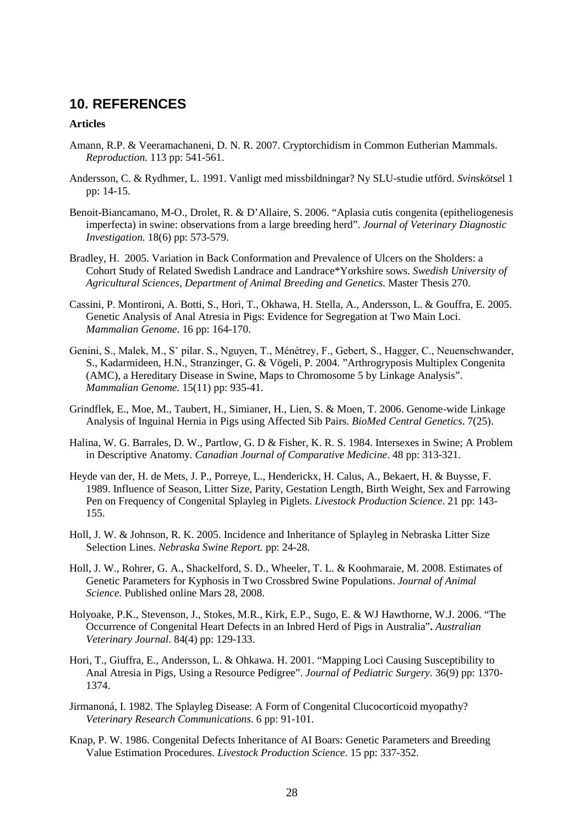### <span id="page-33-0"></span>**10. REFERENCES**

#### **Articles**

- Amann, R.P. & Veeramachaneni, D. N. R. 2007. Cryptorchidism in Common Eutherian Mammals. *Reproduction.* 113 pp: 541-561.
- Andersson, C. & Rydhmer, L. 1991. Vanligt med missbildningar? Ny SLU-studie utförd. *Svinskötse*l 1 pp: 14-15.
- Benoit-Biancamano, M-O., Drolet, R. & D'Allaire, S. 2006. "Aplasia cutis congenita (epitheliogenesis imperfecta) in swine: observations from a large breeding herd". *Journal of Veterinary Diagnostic Investigation.* 18(6) pp: 573-579.
- Bradley, H. 2005. Variation in Back Conformation and Prevalence of Ulcers on the Sholders: a Cohort Study of Related Swedish Landrace and Landrace\*Yorkshire sows. *Swedish University of Agricultural Sciences*, *Department of Animal Breeding and Genetics.* Master Thesis 270.
- Cassini, P. Montironi, A. Botti, S., Hori, T., Okhawa, H. Stella, A., Andersson, L. & Gouffra, E. 2005. Genetic Analysis of Anal Atresia in Pigs: Evidence for Segregation at Two Main Loci. *Mammalian Genome*. 16 pp: 164-170.
- Genini, S., Malek, M., Sˇ pilar. S., Nguyen, T., Ménétrey, F., Gebert, S., Hagger, C., Neuenschwander, S., Kadarmideen, H.N., Stranzinger, G. & Vögeli, P. 2004. "Arthrogryposis Multiplex Congenita (AMC), a Hereditary Disease in Swine, Maps to Chromosome 5 by Linkage Analysis". *Mammalian Genome.* 15(11) pp: 935-41.
- Grindflek, E., Moe, M., Taubert, H., Simianer, H., Lien, S. & Moen, T. 2006. Genome-wide Linkage Analysis of Inguinal Hernia in Pigs using Affected Sib Pairs. *BioMed Central Genetics*. 7(25).
- Halina, W. G. Barrales, D. W., Partlow, G. D & Fisher, K. R. S. 1984. Intersexes in Swine; A Problem in Descriptive Anatomy. *Canadian Journal of Comparative Medicine*. 48 pp: 313-321.
- Heyde van der, H. de Mets, J. P., Porreye, L., Henderickx, H. Calus, A., Bekaert, H. & Buysse, F. 1989. Influence of Season, Litter Size, Parity, Gestation Length, Birth Weight, Sex and Farrowing Pen on Frequency of Congenital Splayleg in Piglets. *Livestock Production Science*. 21 pp: 143- 155.
- Holl, J. W. & Johnson, R. K. 2005. Incidence and Inheritance of Splayleg in Nebraska Litter Size Selection Lines. *Nebraska Swine Report.* pp: 24-28.
- Holl, J. W., Rohrer, G. A., Shackelford, S. D., Wheeler, T. L. & Koohmaraie, M. 2008. Estimates of Genetic Parameters for Kyphosis in Two Crossbred Swine Populations. *Journal of Animal Science.* Published online Mars 28, 2008.
- Holyoake, P.K., Stevenson, J., Stokes, M.R., Kirk, E.P., Sugo, E. & WJ Hawthorne, W.J. 2006. "The Occurrence of Congenital Heart Defects in an Inbred Herd of Pigs in Australia"**.** *Australian Veterinary Journal*. 84(4) pp: 129-133.
- Hori, T., Giuffra, E., Andersson, L. & Ohkawa. H. 2001. "Mapping Loci Causing Susceptibility to Anal Atresia in Pigs, Using a Resource Pedigree". *Journal of Pediatric Surgery*. 36(9) pp: 1370- 1374.
- Jirmanoná, I. 1982. The Splayleg Disease: A Form of Congenital Clucocorticoid myopathy? *Veterinary Research Communications*. 6 pp: 91-101.
- Knap, P. W. 1986. Congenital Defects Inheritance of AI Boars: Genetic Parameters and Breeding Value Estimation Procedures. *Livestock Production Science*. 15 pp: 337-352.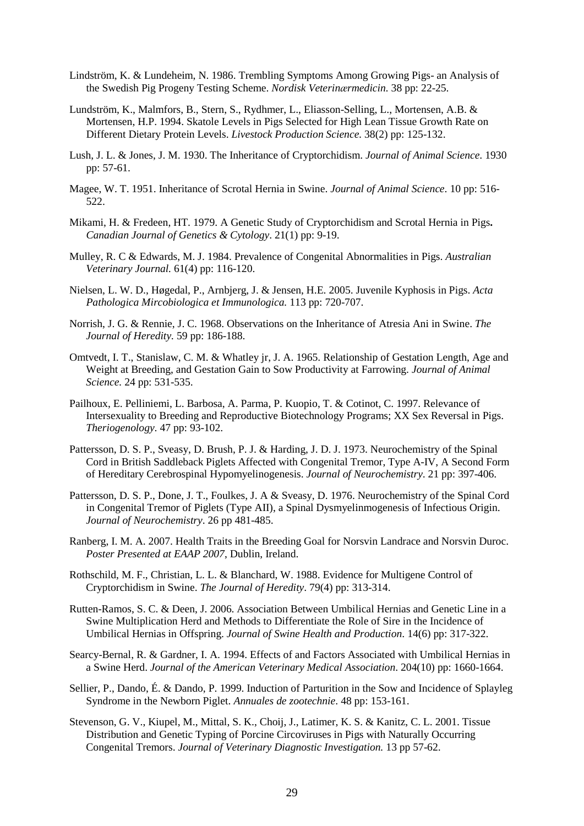- Lindström, K. & Lundeheim, N. 1986. Trembling Symptoms Among Growing Pigs- an Analysis of the Swedish Pig Progeny Testing Scheme. *Nordisk Veterinӕrmedicin.* 38 pp: 22-25.
- Lundström, K., Malmfors, B., Stern, S., Rydhmer, L., Eliasson-Selling, L., Mortensen, A.B. & Mortensen, H.P. 1994. Skatole Levels in Pigs Selected for High Lean Tissue Growth Rate on Different Dietary Protein Levels. *Livestock Production Science.* 38(2) pp: 125-132.
- Lush, J. L. & Jones, J. M. 1930. The Inheritance of Cryptorchidism. *Journal of Animal Science*. 1930 pp: 57-61.
- Magee, W. T. 1951. Inheritance of Scrotal Hernia in Swine. *Journal of Animal Science*. 10 pp: 516- 522.
- Mikami, H. & Fredeen, HT. 1979. A Genetic Study of Cryptorchidism and Scrotal Hernia in Pigs**.** *Canadian Journal of Genetics & Cytology*. 21(1) pp: 9-19.
- Mulley, R. C & Edwards, M. J. 1984. Prevalence of Congenital Abnormalities in Pigs. *Australian Veterinary Journal.* 61(4) pp: 116-120.
- Nielsen, L. W. D., Høgedal, P., Arnbjerg, J. & Jensen, H.E. 2005. Juvenile Kyphosis in Pigs. *Acta Pathologica Mircobiologica et Immunologica.* 113 pp: 720-707.
- Norrish, J. G. & Rennie, J. C. 1968. Observations on the Inheritance of Atresia Ani in Swine. *The Journal of Heredity.* 59 pp: 186-188.
- Omtvedt, I. T., Stanislaw, C. M. & Whatley jr, J. A. 1965. Relationship of Gestation Length, Age and Weight at Breeding, and Gestation Gain to Sow Productivity at Farrowing. *Journal of Animal Science.* 24 pp: 531-535.
- Pailhoux, E. Pelliniemi, L. Barbosa, A. Parma, P. Kuopio, T. & Cotinot, C. 1997. Relevance of Intersexuality to Breeding and Reproductive Biotechnology Programs; XX Sex Reversal in Pigs. *Theriogenology*. 47 pp: 93-102.
- Pattersson, D. S. P., Sveasy, D. Brush, P. J. & Harding, J. D. J. 1973. Neurochemistry of the Spinal Cord in British Saddleback Piglets Affected with Congenital Tremor, Type A-IV, A Second Form of Hereditary Cerebrospinal Hypomyelinogenesis. *Journal of Neurochemistry*. 21 pp: 397-406.
- Pattersson, D. S. P., Done, J. T., Foulkes, J. A & Sveasy, D. 1976. Neurochemistry of the Spinal Cord in Congenital Tremor of Piglets (Type AII), a Spinal Dysmyelinmogenesis of Infectious Origin. *Journal of Neurochemistry*. 26 pp 481-485.
- Ranberg, I. M. A. 2007. Health Traits in the Breeding Goal for Norsvin Landrace and Norsvin Duroc. *Poster Presented at EAAP 2007*, Dublin, Ireland.
- Rothschild, M. F., Christian, L. L. & Blanchard, W. 1988. Evidence for Multigene Control of Cryptorchidism in Swine. *The Journal of Heredity*. 79(4) pp: 313-314.
- Rutten-Ramos, S. C. & Deen, J. 2006. Association Between Umbilical Hernias and Genetic Line in a Swine Multiplication Herd and Methods to Differentiate the Role of Sire in the Incidence of Umbilical Hernias in Offspring. *Journal of Swine Health and Production*. 14(6) pp: 317-322.
- Searcy-Bernal, R. & Gardner, I. A. 1994. Effects of and Factors Associated with Umbilical Hernias in a Swine Herd. *Journal of the American Veterinary Medical Association*. 204(10) pp: 1660-1664.
- Sellier, P., Dando, É. & Dando, P. 1999. Induction of Parturition in the Sow and Incidence of Splayleg Syndrome in the Newborn Piglet. *Annuales de zootechnie*. 48 pp: 153-161.
- Stevenson, G. V., Kiupel, M., Mittal, S. K., Choij, J., Latimer, K. S. & Kanitz, C. L. 2001. Tissue Distribution and Genetic Typing of Porcine Circoviruses in Pigs with Naturally Occurring Congenital Tremors. *Journal of Veterinary Diagnostic Investigation.* 13 pp 57-62.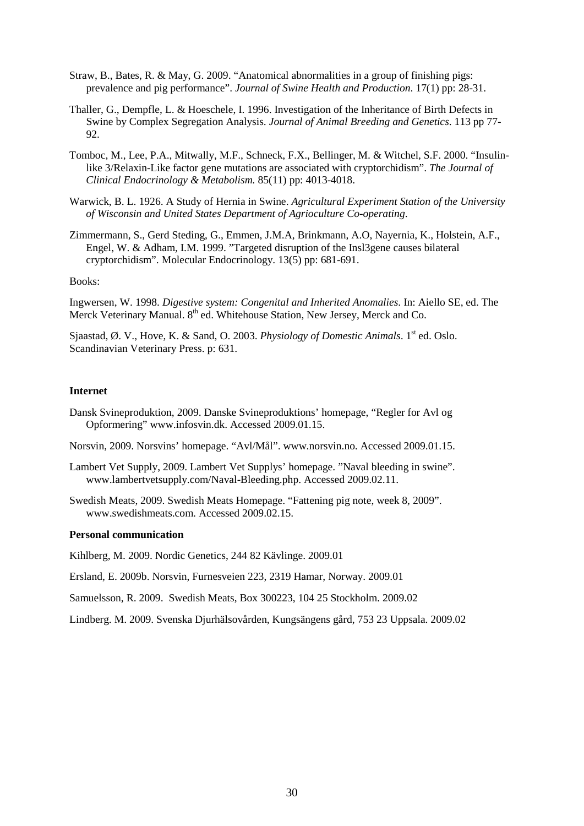- Straw, B., Bates, R. & May, G. 2009. "Anatomical abnormalities in a group of finishing pigs: prevalence and pig performance". *Journal of Swine Health and Production*. 17(1) pp: 28-31.
- Thaller, G., Dempfle, L. & Hoeschele, I. 1996. Investigation of the Inheritance of Birth Defects in Swine by Complex Segregation Analysis. *Journal of Animal Breeding and Genetics*. 113 pp 77- 92.
- Tomboc, M., Lee, P.A., Mitwally, M.F., Schneck, F.X., Bellinger, M. & Witchel, S.F. 2000. "Insulinlike 3/Relaxin-Like factor gene mutations are associated with cryptorchidism". *The Journal of Clinical Endocrinology & Metabolism.* 85(11) pp: 4013-4018.
- Warwick, B. L. 1926. A Study of Hernia in Swine. *Agricultural Experiment Station of the University of Wisconsin and United States Department of Agrioculture Co-operating*.
- Zimmermann, S., Gerd Steding, G., Emmen, J.M.A, Brinkmann, A.O, Nayernia, K., Holstein, A.F., Engel, W. & Adham, I.M. 1999. "Targeted disruption of the Insl3gene causes bilateral cryptorchidism". Molecular Endocrinology. 13(5) pp: 681-691.

#### Books:

Ingwersen, W. 1998. *Digestive system: Congenital and Inherited Anomalies*. In: Aiello SE, ed. The Merck Veterinary Manual. 8<sup>th</sup> ed. Whitehouse Station, New Jersey, Merck and Co.

Sjaastad, Ø. V., Hove, K. & Sand, O. 2003. *Physiology of Domestic Animals*. 1<sup>st</sup> ed. Oslo. Scandinavian Veterinary Press. p: 631.

#### **Internet**

Dansk Svineproduktion, 2009. Danske Svineproduktions' homepage, "Regler for Avl og Opformering" www.infosvin.dk. Accessed 2009.01.15.

Norsvin, 2009. Norsvins' homepage. "Avl/Mål". www.norsvin.no. Accessed 2009.01.15.

- Lambert Vet Supply, 2009. Lambert Vet Supplys' homepage. "Naval bleeding in swine". www.lambertvetsupply.com/Naval-Bleeding.php. Accessed 2009.02.11.
- Swedish Meats, 2009. Swedish Meats Homepage. "Fattening pig note, week 8, 2009". www.swedishmeats.com. Accessed 2009.02.15.

#### **Personal communication**

Kihlberg, M. 2009. Nordic Genetics, 244 82 Kävlinge. 2009.01

Ersland, E. 2009b. Norsvin, Furnesveien 223, 2319 Hamar, Norway. 2009.01

Samuelsson, R. 2009. Swedish Meats, Box 300223, 104 25 Stockholm. 2009.02

Lindberg. M. 2009. Svenska Djurhälsovården, Kungsängens gård, 753 23 Uppsala. 2009.02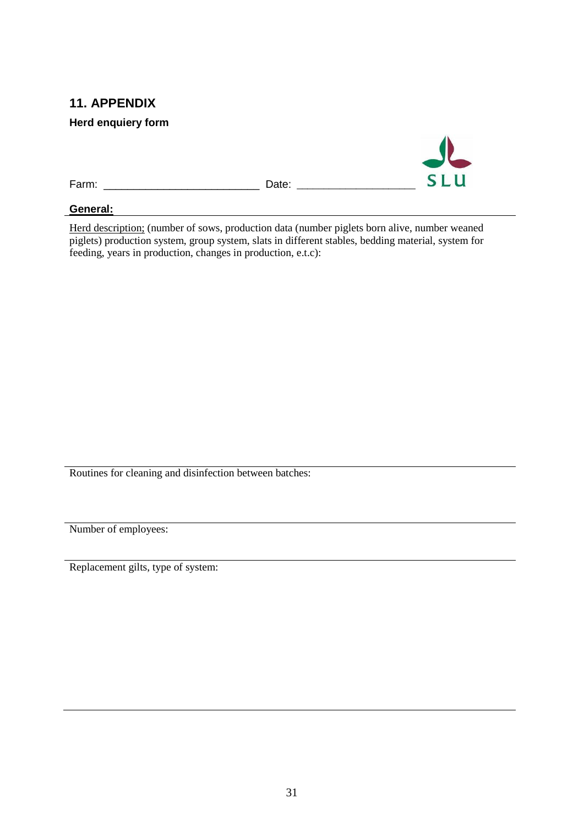# <span id="page-36-0"></span>**11. APPENDIX**

<span id="page-36-1"></span>**Herd enquiery form**



#### **General:**

Herd description; (number of sows, production data (number piglets born alive, number weaned piglets) production system, group system, slats in different stables, bedding material, system for feeding, years in production, changes in production, e.t.c):

Routines for cleaning and disinfection between batches:

Number of employees:

Replacement gilts, type of system: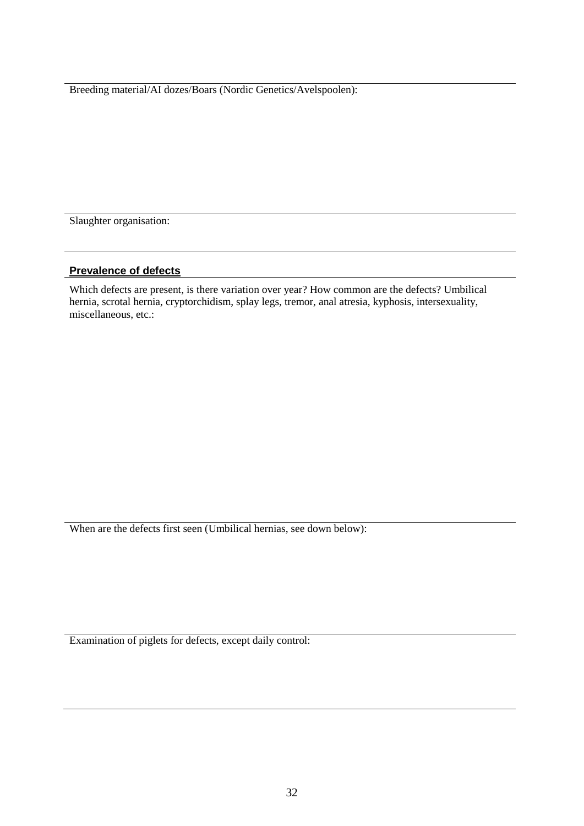Breeding material/AI dozes/Boars (Nordic Genetics/Avelspoolen):

Slaughter organisation:

#### **Prevalence of defects**

Which defects are present, is there variation over year? How common are the defects? Umbilical hernia, scrotal hernia, cryptorchidism, splay legs, tremor, anal atresia, kyphosis, intersexuality, miscellaneous, etc.:

When are the defects first seen (Umbilical hernias, see down below):

Examination of piglets for defects, except daily control: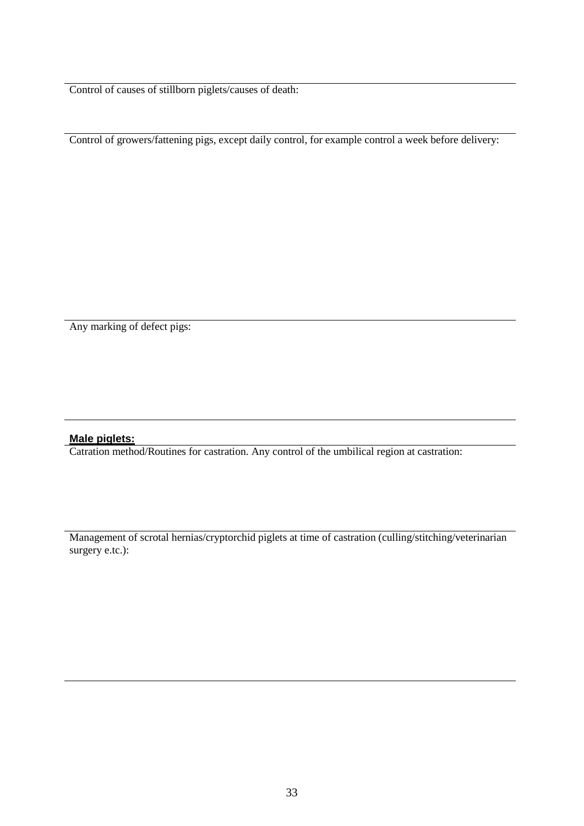Control of causes of stillborn piglets/causes of death:

Control of growers/fattening pigs, except daily control, for example control a week before delivery:

Any marking of defect pigs:

#### **Male piglets:**

Catration method/Routines for castration. Any control of the umbilical region at castration:

Management of scrotal hernias/cryptorchid piglets at time of castration (culling/stitching/veterinarian surgery e.tc.):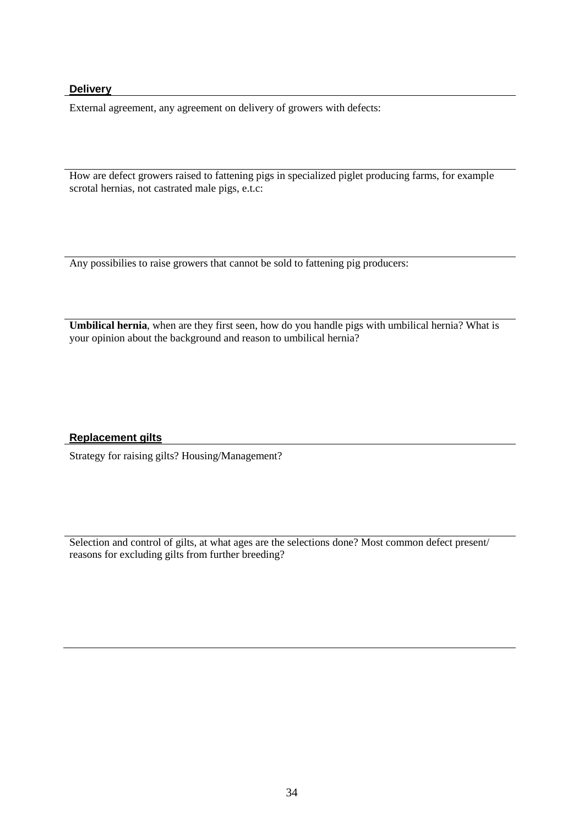#### **Delivery**

External agreement, any agreement on delivery of growers with defects:

How are defect growers raised to fattening pigs in specialized piglet producing farms, for example scrotal hernias, not castrated male pigs, e.t.c:

Any possibilies to raise growers that cannot be sold to fattening pig producers:

**Umbilical hernia**, when are they first seen, how do you handle pigs with umbilical hernia? What is your opinion about the background and reason to umbilical hernia?

#### **Replacement gilts**

Strategy for raising gilts? Housing/Management?

Selection and control of gilts, at what ages are the selections done? Most common defect present/ reasons for excluding gilts from further breeding?